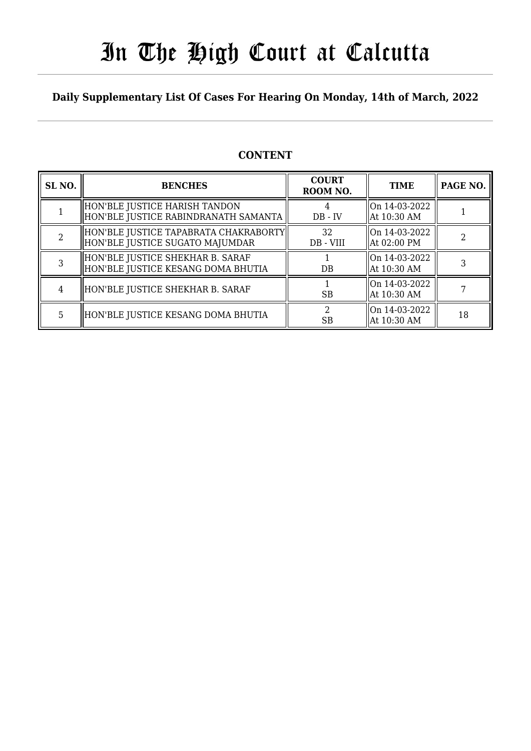# In The High Court at Calcutta

### **Daily Supplementary List Of Cases For Hearing On Monday, 14th of March, 2022**

### **CONTENT**

| SL <sub>NO.</sub> | <b>BENCHES</b>                                                             | <b>COURT</b><br>ROOM NO. | <b>TIME</b>                          | PAGE NO. |
|-------------------|----------------------------------------------------------------------------|--------------------------|--------------------------------------|----------|
|                   | HON'BLE JUSTICE HARISH TANDON <br>HON'BLE JUSTICE RABINDRANATH SAMANTA     | $DB - IV$                | $\vert$ On 14-03-2022<br>At 10:30 AM |          |
|                   | HON'BLE JUSTICE TAPABRATA CHAKRABORTY  <br>HON'BLE JUSTICE SUGATO MAJUMDAR | 32<br>DB - VIII          | On 14-03-2022<br>At 02:00 PM         |          |
| 3                 | HON'BLE JUSTICE SHEKHAR B. SARAF<br>HON'BLE JUSTICE KESANG DOMA BHUTIA     | DB                       | $\vert$ On 14-03-2022<br>At 10:30 AM |          |
| 4                 | HON'BLE JUSTICE SHEKHAR B. SARAF                                           | <b>SB</b>                | On 14-03-2022<br>At 10:30 AM         |          |
| 5                 | HON'BLE JUSTICE KESANG DOMA BHUTIA                                         | SВ                       | On 14-03-2022<br>At 10:30 AM         | 18       |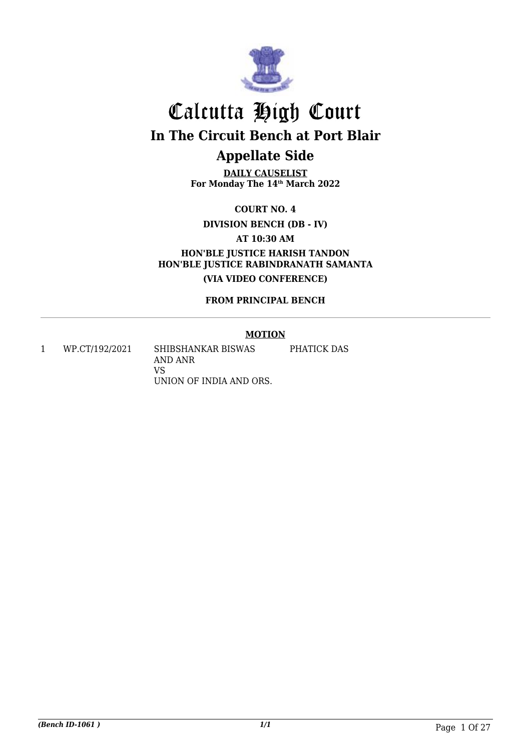

## Calcutta High Court **In The Circuit Bench at Port Blair Appellate Side**

**DAILY CAUSELIST For Monday The 14th March 2022**

**COURT NO. 4**

**DIVISION BENCH (DB - IV)**

**AT 10:30 AM**

**HON'BLE JUSTICE HARISH TANDON HON'BLE JUSTICE RABINDRANATH SAMANTA (VIA VIDEO CONFERENCE)**

**FROM PRINCIPAL BENCH**

#### **MOTION**

1 WP.CT/192/2021 SHIBSHANKAR BISWAS AND ANR VS UNION OF INDIA AND ORS. PHATICK DAS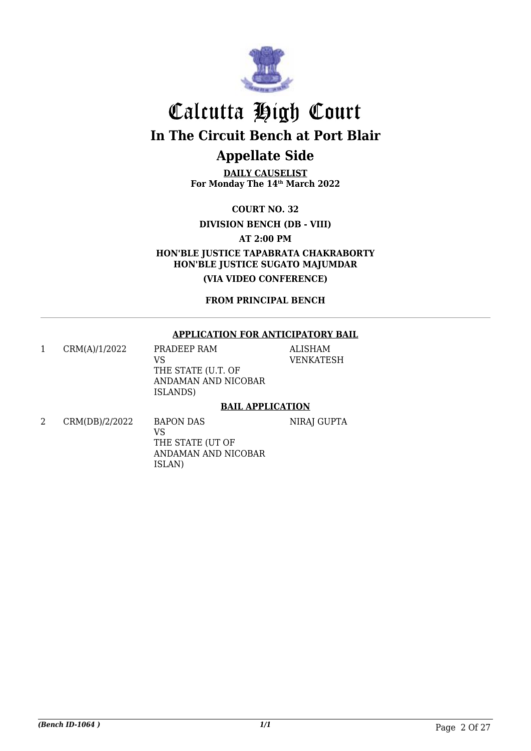

## Calcutta High Court **In The Circuit Bench at Port Blair**

## **Appellate Side**

**DAILY CAUSELIST For Monday The 14th March 2022**

**COURT NO. 32**

**DIVISION BENCH (DB - VIII)**

**AT 2:00 PM**

**HON'BLE JUSTICE TAPABRATA CHAKRABORTY HON'BLE JUSTICE SUGATO MAJUMDAR**

**(VIA VIDEO CONFERENCE)**

**FROM PRINCIPAL BENCH**

#### **APPLICATION FOR ANTICIPATORY BAIL**

1 CRM(A)/1/2022 PRADEEP RAM VS THE STATE (U.T. OF ANDAMAN AND NICOBAR ISLANDS)

ALISHAM VENKATESH

#### **BAIL APPLICATION**

2 CRM(DB)/2/2022 BAPON DAS VS THE STATE (UT OF ANDAMAN AND NICOBAR ISLAN) NIRAJ GUPTA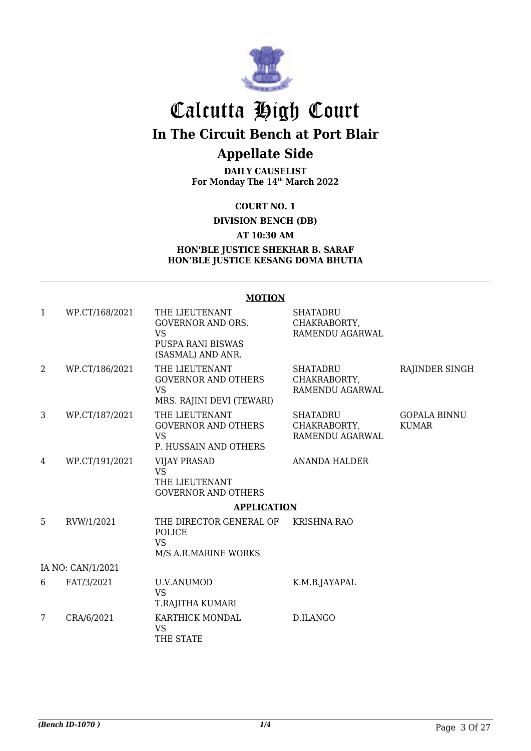

## Calcutta High Court

**In The Circuit Bench at Port Blair**

### **Appellate Side**

**DAILY CAUSELIST For Monday The 14th March 2022**

#### **COURT NO. 1**

#### **DIVISION BENCH (DB)**

#### **AT 10:30 AM**

#### **HON'BLE JUSTICE SHEKHAR B. SARAF HON'BLE JUSTICE KESANG DOMA BHUTIA**

#### **MOTION**

| 1 | WP.CT/168/2021    | THE LIEUTENANT<br><b>GOVERNOR AND ORS.</b><br><b>VS</b><br><b>PUSPA RANI BISWAS</b><br>(SASMAL) AND ANR. | <b>SHATADRU</b><br>CHAKRABORTY,<br>RAMENDU AGARWAL |                                     |
|---|-------------------|----------------------------------------------------------------------------------------------------------|----------------------------------------------------|-------------------------------------|
| 2 | WP.CT/186/2021    | THE LIEUTENANT<br><b>GOVERNOR AND OTHERS</b><br><b>VS</b><br>MRS. RAJINI DEVI (TEWARI)                   | <b>SHATADRU</b><br>CHAKRABORTY,<br>RAMENDU AGARWAL | RAJINDER SINGH                      |
| 3 | WP.CT/187/2021    | THE LIEUTENANT<br><b>GOVERNOR AND OTHERS</b><br><b>VS</b><br>P. HUSSAIN AND OTHERS                       | <b>SHATADRU</b><br>CHAKRABORTY,<br>RAMENDU AGARWAL | <b>GOPALA BINNU</b><br><b>KUMAR</b> |
| 4 | WP.CT/191/2021    | <b>VIJAY PRASAD</b><br><b>VS</b><br>THE LIEUTENANT<br><b>GOVERNOR AND OTHERS</b>                         | <b>ANANDA HALDER</b>                               |                                     |
|   |                   | <b>APPLICATION</b>                                                                                       |                                                    |                                     |
| 5 | RVW/1/2021        | THE DIRECTOR GENERAL OF<br><b>POLICE</b><br><b>VS</b><br>M/S A.R.MARINE WORKS                            | <b>KRISHNA RAO</b>                                 |                                     |
|   | IA NO: CAN/1/2021 |                                                                                                          |                                                    |                                     |
| 6 | FAT/3/2021        | U.V.ANUMOD<br><b>VS</b><br>T.RAJITHA KUMARI                                                              | K.M.B.JAYAPAL                                      |                                     |
| 7 | CRA/6/2021        | KARTHICK MONDAL<br><b>VS</b><br>THE STATE                                                                | D.ILANGO                                           |                                     |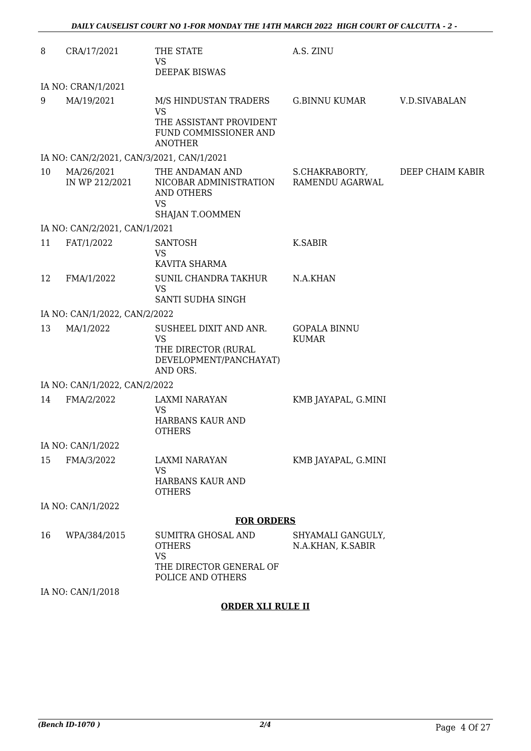| 8  | CRA/17/2021                               | THE STATE<br><b>VS</b><br><b>DEEPAK BISWAS</b>                                                           | A.S. ZINU                              |                  |
|----|-------------------------------------------|----------------------------------------------------------------------------------------------------------|----------------------------------------|------------------|
|    | IA NO: CRAN/1/2021                        |                                                                                                          |                                        |                  |
| 9  | MA/19/2021                                | M/S HINDUSTAN TRADERS<br><b>VS</b><br>THE ASSISTANT PROVIDENT<br>FUND COMMISSIONER AND<br><b>ANOTHER</b> | <b>G.BINNU KUMAR</b>                   | V.D.SIVABALAN    |
|    | IA NO: CAN/2/2021, CAN/3/2021, CAN/1/2021 |                                                                                                          |                                        |                  |
| 10 | MA/26/2021<br>IN WP 212/2021              | THE ANDAMAN AND<br>NICOBAR ADMINISTRATION<br>AND OTHERS<br><b>VS</b><br>SHAJAN T.OOMMEN                  | S.CHAKRABORTY,<br>RAMENDU AGARWAL      | DEEP CHAIM KABIR |
|    | IA NO: CAN/2/2021, CAN/1/2021             |                                                                                                          |                                        |                  |
| 11 | FAT/1/2022                                | <b>SANTOSH</b><br><b>VS</b><br>KAVITA SHARMA                                                             | K.SABIR                                |                  |
| 12 | FMA/1/2022                                | SUNIL CHANDRA TAKHUR<br><b>VS</b><br>SANTI SUDHA SINGH                                                   | N.A.KHAN                               |                  |
|    | IA NO: CAN/1/2022, CAN/2/2022             |                                                                                                          |                                        |                  |
| 13 | MA/1/2022                                 | SUSHEEL DIXIT AND ANR.<br><b>VS</b><br>THE DIRECTOR (RURAL<br>DEVELOPMENT/PANCHAYAT)<br>AND ORS.         | <b>GOPALA BINNU</b><br><b>KUMAR</b>    |                  |
|    | IA NO: CAN/1/2022, CAN/2/2022             |                                                                                                          |                                        |                  |
| 14 | FMA/2/2022                                | <b>LAXMI NARAYAN</b><br><b>VS</b><br>HARBANS KAUR AND<br><b>OTHERS</b>                                   | KMB JAYAPAL, G.MINI                    |                  |
|    | IA NO: CAN/1/2022                         |                                                                                                          |                                        |                  |
| 15 | FMA/3/2022                                | LAXMI NARAYAN<br><b>VS</b><br>HARBANS KAUR AND<br><b>OTHERS</b>                                          | KMB JAYAPAL, G.MINI                    |                  |
|    | IA NO: CAN/1/2022                         |                                                                                                          |                                        |                  |
|    |                                           | <b>FOR ORDERS</b>                                                                                        |                                        |                  |
| 16 | WPA/384/2015                              | SUMITRA GHOSAL AND<br><b>OTHERS</b><br><b>VS</b><br>THE DIRECTOR GENERAL OF<br>POLICE AND OTHERS         | SHYAMALI GANGULY,<br>N.A.KHAN, K.SABIR |                  |
|    | IA NO: CAN/1/2018                         |                                                                                                          |                                        |                  |

#### **ORDER XLI RULE II**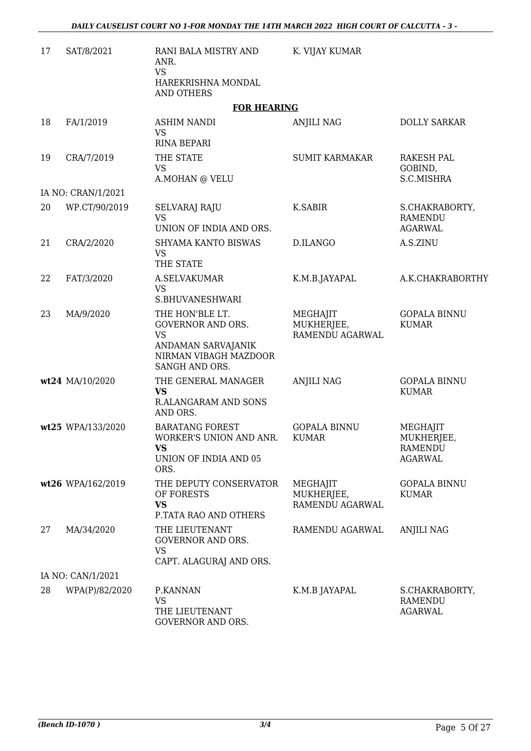| 17 | SAT/8/2021         | RANI BALA MISTRY AND<br>ANR.<br><b>VS</b><br>HAREKRISHNA MONDAL<br><b>AND OTHERS</b>                                      | K. VIJAY KUMAR                            |                                                            |
|----|--------------------|---------------------------------------------------------------------------------------------------------------------------|-------------------------------------------|------------------------------------------------------------|
|    |                    | <b>FOR HEARING</b>                                                                                                        |                                           |                                                            |
| 18 | FA/1/2019          | <b>ASHIM NANDI</b><br><b>VS</b><br><b>RINA BEPARI</b>                                                                     | <b>ANJILI NAG</b>                         | <b>DOLLY SARKAR</b>                                        |
| 19 | CRA/7/2019         | THE STATE<br><b>VS</b><br>A.MOHAN @ VELU                                                                                  | <b>SUMIT KARMAKAR</b>                     | RAKESH PAL<br>GOBIND,<br>S.C.MISHRA                        |
|    | IA NO: CRAN/1/2021 |                                                                                                                           |                                           |                                                            |
| 20 | WP.CT/90/2019      | <b>SELVARAJ RAJU</b><br><b>VS</b><br>UNION OF INDIA AND ORS.                                                              | <b>K.SABIR</b>                            | S.CHAKRABORTY,<br><b>RAMENDU</b><br><b>AGARWAL</b>         |
| 21 | CRA/2/2020         | SHYAMA KANTO BISWAS<br><b>VS</b><br>THE STATE                                                                             | D.ILANGO                                  | A.S.ZINU                                                   |
| 22 | FAT/3/2020         | <b>A.SELVAKUMAR</b><br><b>VS</b><br>S.BHUVANESHWARI                                                                       | K.M.B.JAYAPAL                             | A.K.CHAKRABORTHY                                           |
| 23 | MA/9/2020          | THE HON'BLE LT.<br><b>GOVERNOR AND ORS.</b><br><b>VS</b><br>ANDAMAN SARVAJANIK<br>NIRMAN VIBAGH MAZDOOR<br>SANGH AND ORS. | MEGHAJIT<br>MUKHERJEE,<br>RAMENDU AGARWAL | <b>GOPALA BINNU</b><br><b>KUMAR</b>                        |
|    | wt24 MA/10/2020    | THE GENERAL MANAGER<br><b>VS</b><br><b>R.ALANGARAM AND SONS</b><br>AND ORS.                                               | <b>ANJILI NAG</b>                         | <b>GOPALA BINNU</b><br><b>KUMAR</b>                        |
|    | wt25 WPA/133/2020  | <b>BARATANG FOREST</b><br>WORKER'S UNION AND ANR.<br><b>VS</b><br>UNION OF INDIA AND 05<br>ORS.                           | <b>GOPALA BINNU</b><br><b>KUMAR</b>       | MEGHAJIT<br>MUKHERJEE,<br><b>RAMENDU</b><br><b>AGARWAL</b> |
|    | wt26 WPA/162/2019  | THE DEPUTY CONSERVATOR<br>OF FORESTS<br><b>VS</b><br>P.TATA RAO AND OTHERS                                                | MEGHAJIT<br>MUKHERJEE,<br>RAMENDU AGARWAL | <b>GOPALA BINNU</b><br><b>KUMAR</b>                        |
| 27 | MA/34/2020         | THE LIEUTENANT<br><b>GOVERNOR AND ORS.</b><br><b>VS</b><br>CAPT. ALAGURAJ AND ORS.                                        | RAMENDU AGARWAL                           | <b>ANJILI NAG</b>                                          |
|    | IA NO: CAN/1/2021  |                                                                                                                           |                                           |                                                            |
| 28 | WPA(P)/82/2020     | P.KANNAN<br><b>VS</b><br>THE LIEUTENANT<br>GOVERNOR AND ORS.                                                              | K.M.B JAYAPAL                             | S.CHAKRABORTY,<br>RAMENDU<br><b>AGARWAL</b>                |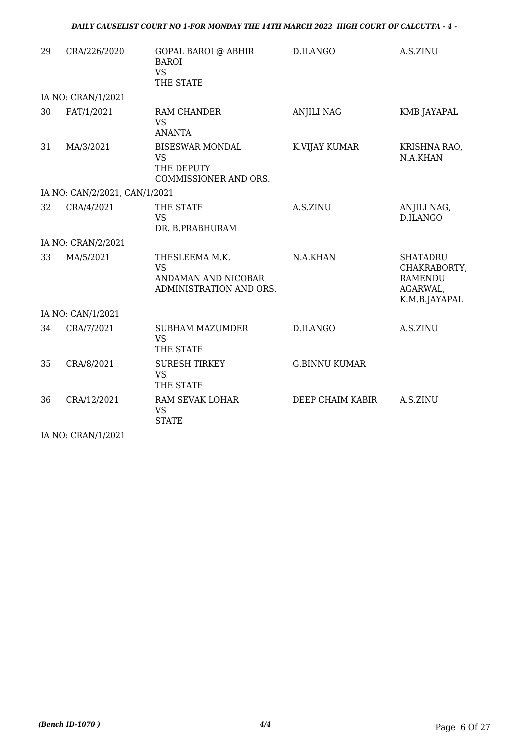| 29 | CRA/226/2020                  | <b>GOPAL BAROI @ ABHIR</b><br><b>BAROI</b><br><b>VS</b><br>THE STATE          | D.ILANGO             | A.S.ZINU                                                                       |
|----|-------------------------------|-------------------------------------------------------------------------------|----------------------|--------------------------------------------------------------------------------|
|    | IA NO: CRAN/1/2021            |                                                                               |                      |                                                                                |
| 30 | FAT/1/2021                    | RAM CHANDER<br><b>VS</b><br><b>ANANTA</b>                                     | <b>ANJILI NAG</b>    | KMB JAYAPAL                                                                    |
| 31 | MA/3/2021                     | <b>BISESWAR MONDAL</b><br><b>VS</b><br>THE DEPUTY<br>COMMISSIONER AND ORS.    | K.VIJAY KUMAR        | KRISHNA RAO,<br>N.A.KHAN                                                       |
|    | IA NO: CAN/2/2021, CAN/1/2021 |                                                                               |                      |                                                                                |
| 32 | CRA/4/2021                    | THE STATE<br><b>VS</b><br>DR. B.PRABHURAM                                     | A.S.ZINU             | ANJILI NAG,<br>D.ILANGO                                                        |
|    | IA NO: CRAN/2/2021            |                                                                               |                      |                                                                                |
| 33 | MA/5/2021                     | THESLEEMA M.K.<br><b>VS</b><br>ANDAMAN AND NICOBAR<br>ADMINISTRATION AND ORS. | N.A.KHAN             | <b>SHATADRU</b><br>CHAKRABORTY,<br><b>RAMENDU</b><br>AGARWAL,<br>K.M.B.JAYAPAL |
|    | IA NO: CAN/1/2021             |                                                                               |                      |                                                                                |
| 34 | CRA/7/2021                    | <b>SUBHAM MAZUMDER</b><br><b>VS</b><br>THE STATE                              | D.ILANGO             | A.S.ZINU                                                                       |
| 35 | CRA/8/2021                    | <b>SURESH TIRKEY</b><br><b>VS</b><br>THE STATE                                | <b>G.BINNU KUMAR</b> |                                                                                |
| 36 | CRA/12/2021                   | RAM SEVAK LOHAR<br><b>VS</b><br><b>STATE</b>                                  | DEEP CHAIM KABIR     | A.S.ZINU                                                                       |
|    | IA NO: CRAN/1/2021            |                                                                               |                      |                                                                                |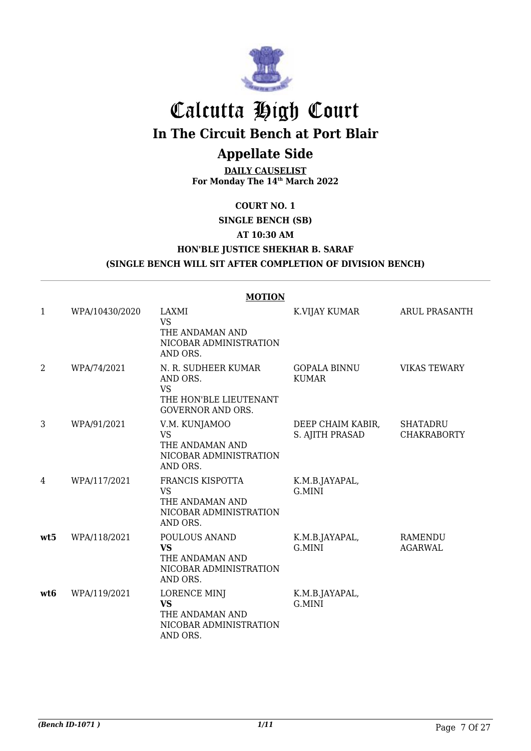

## Calcutta High Court

**In The Circuit Bench at Port Blair**

## **Appellate Side**

**DAILY CAUSELIST For Monday The 14th March 2022**

#### **COURT NO. 1**

**SINGLE BENCH (SB)**

#### **AT 10:30 AM**

**HON'BLE JUSTICE SHEKHAR B. SARAF**

**(SINGLE BENCH WILL SIT AFTER COMPLETION OF DIVISION BENCH)**

|              |                | <b>MOTION</b>                                                                                      |                                      |                                |
|--------------|----------------|----------------------------------------------------------------------------------------------------|--------------------------------------|--------------------------------|
| $\mathbf{1}$ | WPA/10430/2020 | LAXMI<br><b>VS</b><br>THE ANDAMAN AND<br>NICOBAR ADMINISTRATION<br>AND ORS.                        | K.VIJAY KUMAR                        | <b>ARUL PRASANTH</b>           |
| 2            | WPA/74/2021    | N. R. SUDHEER KUMAR<br>AND ORS.<br><b>VS</b><br>THE HON'BLE LIEUTENANT<br><b>GOVERNOR AND ORS.</b> | <b>GOPALA BINNU</b><br><b>KUMAR</b>  | <b>VIKAS TEWARY</b>            |
| 3            | WPA/91/2021    | V.M. KUNJAMOO<br><b>VS</b><br>THE ANDAMAN AND<br>NICOBAR ADMINISTRATION<br>AND ORS.                | DEEP CHAIM KABIR,<br>S. AJITH PRASAD | SHATADRU<br><b>CHAKRABORTY</b> |
| 4            | WPA/117/2021   | FRANCIS KISPOTTA<br><b>VS</b><br>THE ANDAMAN AND<br>NICOBAR ADMINISTRATION<br>AND ORS.             | K.M.B.JAYAPAL,<br>G.MINI             |                                |
| wt5          | WPA/118/2021   | POULOUS ANAND<br><b>VS</b><br>THE ANDAMAN AND<br>NICOBAR ADMINISTRATION<br>AND ORS.                | K.M.B.JAYAPAL,<br>G.MINI             | RAMENDU<br><b>AGARWAL</b>      |
| wt6          | WPA/119/2021   | <b>LORENCE MINJ</b><br><b>VS</b><br>THE ANDAMAN AND<br>NICOBAR ADMINISTRATION<br>AND ORS.          | K.M.B.JAYAPAL,<br>G.MINI             |                                |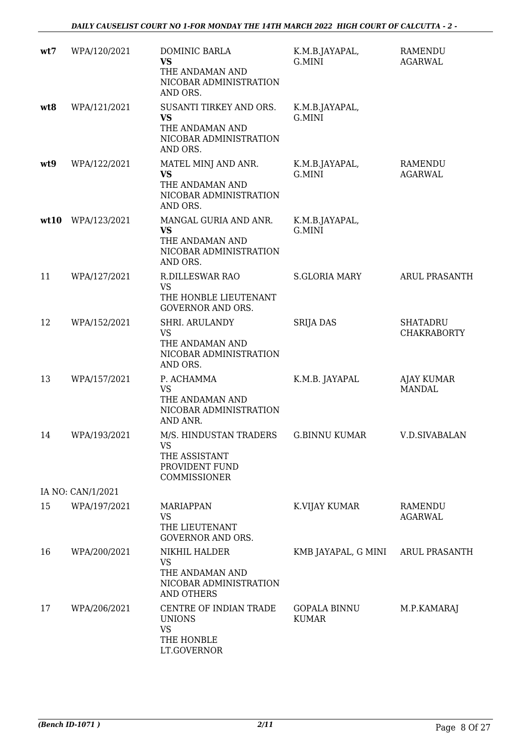| wt7  | WPA/120/2021      | DOMINIC BARLA<br><b>VS</b><br>THE ANDAMAN AND<br>NICOBAR ADMINISTRATION<br>AND ORS.           | K.M.B.JAYAPAL,<br>G.MINI            | <b>RAMENDU</b><br><b>AGARWAL</b>      |
|------|-------------------|-----------------------------------------------------------------------------------------------|-------------------------------------|---------------------------------------|
| wt8  | WPA/121/2021      | SUSANTI TIRKEY AND ORS.<br><b>VS</b><br>THE ANDAMAN AND<br>NICOBAR ADMINISTRATION<br>AND ORS. | K.M.B.JAYAPAL,<br>G.MINI            |                                       |
| wt9  | WPA/122/2021      | MATEL MINJ AND ANR.<br><b>VS</b><br>THE ANDAMAN AND<br>NICOBAR ADMINISTRATION<br>AND ORS.     | K.M.B.JAYAPAL,<br>G.MINI            | RAMENDU<br><b>AGARWAL</b>             |
| wt10 | WPA/123/2021      | MANGAL GURIA AND ANR.<br><b>VS</b><br>THE ANDAMAN AND<br>NICOBAR ADMINISTRATION<br>AND ORS.   | K.M.B.JAYAPAL,<br>G.MINI            |                                       |
| 11   | WPA/127/2021      | <b>R.DILLESWAR RAO</b><br><b>VS</b><br>THE HONBLE LIEUTENANT<br><b>GOVERNOR AND ORS.</b>      | <b>S.GLORIA MARY</b>                | ARUL PRASANTH                         |
| 12   | WPA/152/2021      | SHRI. ARULANDY<br><b>VS</b><br>THE ANDAMAN AND<br>NICOBAR ADMINISTRATION<br>AND ORS.          | <b>SRIJA DAS</b>                    | <b>SHATADRU</b><br><b>CHAKRABORTY</b> |
| 13   | WPA/157/2021      | P. ACHAMMA<br>VS<br>THE ANDAMAN AND<br>NICOBAR ADMINISTRATION<br>AND ANR.                     | K.M.B. JAYAPAL                      | <b>AJAY KUMAR</b><br><b>MANDAL</b>    |
| 14   | WPA/193/2021      | M/S. HINDUSTAN TRADERS<br><b>VS</b><br>THE ASSISTANT<br>PROVIDENT FUND<br>COMMISSIONER        | <b>G.BINNU KUMAR</b>                | <b>V.D.SIVABALAN</b>                  |
|      | IA NO: CAN/1/2021 |                                                                                               |                                     |                                       |
| 15   | WPA/197/2021      | MARIAPPAN<br><b>VS</b><br>THE LIEUTENANT<br><b>GOVERNOR AND ORS.</b>                          | K.VIJAY KUMAR                       | RAMENDU<br><b>AGARWAL</b>             |
| 16   | WPA/200/2021      | NIKHIL HALDER<br><b>VS</b><br>THE ANDAMAN AND<br>NICOBAR ADMINISTRATION<br><b>AND OTHERS</b>  | KMB JAYAPAL, G MINI                 | <b>ARUL PRASANTH</b>                  |
| 17   | WPA/206/2021      | CENTRE OF INDIAN TRADE<br><b>UNIONS</b><br><b>VS</b><br>THE HONBLE<br>LT.GOVERNOR             | <b>GOPALA BINNU</b><br><b>KUMAR</b> | M.P.KAMARAJ                           |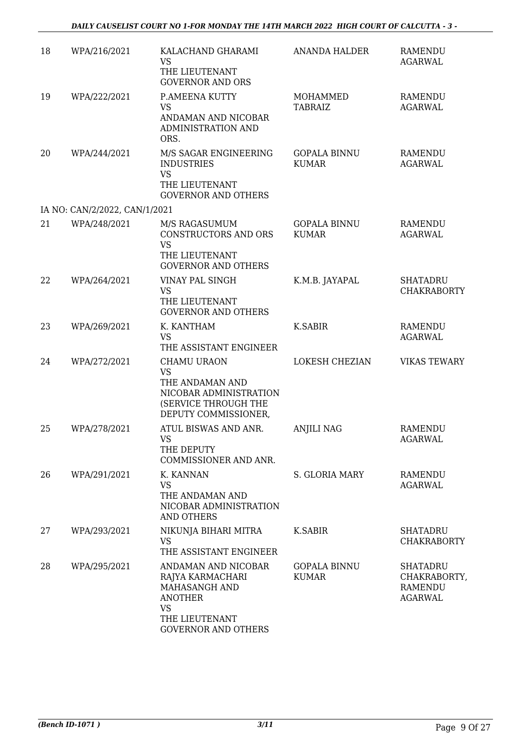| 18 | WPA/216/2021                  | KALACHAND GHARAMI<br><b>VS</b>                                                            | <b>ANANDA HALDER</b>                | <b>RAMENDU</b><br><b>AGARWAL</b>                                    |
|----|-------------------------------|-------------------------------------------------------------------------------------------|-------------------------------------|---------------------------------------------------------------------|
|    |                               | THE LIEUTENANT<br><b>GOVERNOR AND ORS</b>                                                 |                                     |                                                                     |
| 19 | WPA/222/2021                  | P.AMEENA KUTTY<br><b>VS</b>                                                               | MOHAMMED<br><b>TABRAIZ</b>          | <b>RAMENDU</b><br><b>AGARWAL</b>                                    |
|    |                               | ANDAMAN AND NICOBAR<br>ADMINISTRATION AND<br>ORS.                                         |                                     |                                                                     |
| 20 | WPA/244/2021                  | M/S SAGAR ENGINEERING<br><b>INDUSTRIES</b><br><b>VS</b>                                   | <b>GOPALA BINNU</b><br><b>KUMAR</b> | <b>RAMENDU</b><br><b>AGARWAL</b>                                    |
|    |                               | THE LIEUTENANT<br><b>GOVERNOR AND OTHERS</b>                                              |                                     |                                                                     |
|    | IA NO: CAN/2/2022, CAN/1/2021 |                                                                                           |                                     |                                                                     |
| 21 | WPA/248/2021                  | M/S RAGASUMUM<br>CONSTRUCTORS AND ORS<br><b>VS</b>                                        | <b>GOPALA BINNU</b><br><b>KUMAR</b> | <b>RAMENDU</b><br><b>AGARWAL</b>                                    |
|    |                               | THE LIEUTENANT<br><b>GOVERNOR AND OTHERS</b>                                              |                                     |                                                                     |
| 22 | WPA/264/2021                  | VINAY PAL SINGH<br><b>VS</b>                                                              | K.M.B. JAYAPAL                      | <b>SHATADRU</b><br><b>CHAKRABORTY</b>                               |
|    |                               | THE LIEUTENANT<br><b>GOVERNOR AND OTHERS</b>                                              |                                     |                                                                     |
| 23 | WPA/269/2021                  | K. KANTHAM<br><b>VS</b>                                                                   | <b>K.SABIR</b>                      | <b>RAMENDU</b><br><b>AGARWAL</b>                                    |
|    |                               | THE ASSISTANT ENGINEER                                                                    |                                     |                                                                     |
| 24 | WPA/272/2021                  | <b>CHAMU URAON</b><br><b>VS</b>                                                           | <b>LOKESH CHEZIAN</b>               | <b>VIKAS TEWARY</b>                                                 |
|    |                               | THE ANDAMAN AND<br>NICOBAR ADMINISTRATION<br>(SERVICE THROUGH THE<br>DEPUTY COMMISSIONER, |                                     |                                                                     |
| 25 | WPA/278/2021                  | ATUL BISWAS AND ANR.<br><b>VS</b><br>THE DEPUTY                                           | <b>ANJILI NAG</b>                   | <b>RAMENDU</b><br><b>AGARWAL</b>                                    |
| 26 | WPA/291/2021                  | COMMISSIONER AND ANR.<br>K. KANNAN                                                        | S. GLORIA MARY                      | RAMENDU                                                             |
|    |                               | <b>VS</b>                                                                                 |                                     | <b>AGARWAL</b>                                                      |
|    |                               | THE ANDAMAN AND<br>NICOBAR ADMINISTRATION<br><b>AND OTHERS</b>                            |                                     |                                                                     |
| 27 | WPA/293/2021                  | NIKUNJA BIHARI MITRA<br><b>VS</b><br>THE ASSISTANT ENGINEER                               | K.SABIR                             | <b>SHATADRU</b><br><b>CHAKRABORTY</b>                               |
| 28 | WPA/295/2021                  | ANDAMAN AND NICOBAR<br>RAJYA KARMACHARI<br>MAHASANGH AND<br><b>ANOTHER</b><br><b>VS</b>   | <b>GOPALA BINNU</b><br><b>KUMAR</b> | <b>SHATADRU</b><br>CHAKRABORTY,<br><b>RAMENDU</b><br><b>AGARWAL</b> |
|    |                               | THE LIEUTENANT<br><b>GOVERNOR AND OTHERS</b>                                              |                                     |                                                                     |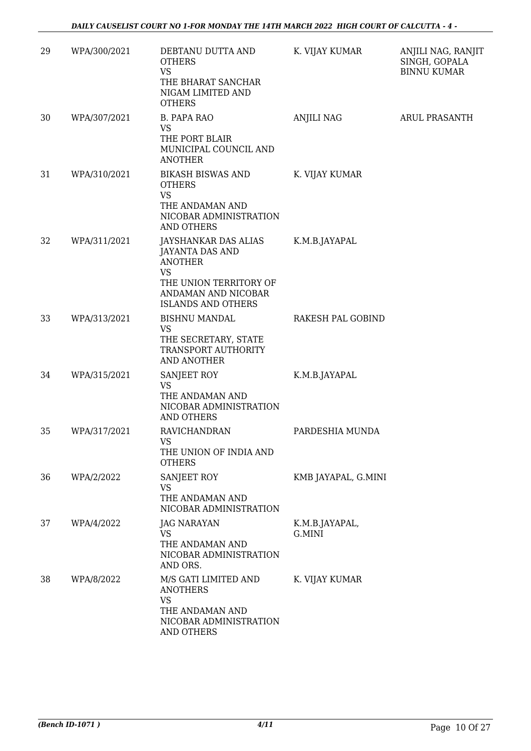| 29 | WPA/300/2021 | DEBTANU DUTTA AND<br><b>OTHERS</b><br><b>VS</b><br>THE BHARAT SANCHAR<br>NIGAM LIMITED AND<br><b>OTHERS</b>                                                 | K. VIJAY KUMAR           | ANJILI NAG, RANJIT<br>SINGH, GOPALA<br><b>BINNU KUMAR</b> |
|----|--------------|-------------------------------------------------------------------------------------------------------------------------------------------------------------|--------------------------|-----------------------------------------------------------|
| 30 | WPA/307/2021 | <b>B. PAPA RAO</b><br><b>VS</b><br>THE PORT BLAIR<br>MUNICIPAL COUNCIL AND                                                                                  | <b>ANJILI NAG</b>        | <b>ARUL PRASANTH</b>                                      |
| 31 | WPA/310/2021 | <b>ANOTHER</b><br><b>BIKASH BISWAS AND</b><br><b>OTHERS</b><br><b>VS</b><br>THE ANDAMAN AND<br>NICOBAR ADMINISTRATION<br><b>AND OTHERS</b>                  | K. VIJAY KUMAR           |                                                           |
| 32 | WPA/311/2021 | JAYSHANKAR DAS ALIAS<br><b>JAYANTA DAS AND</b><br><b>ANOTHER</b><br><b>VS</b><br>THE UNION TERRITORY OF<br>ANDAMAN AND NICOBAR<br><b>ISLANDS AND OTHERS</b> | K.M.B.JAYAPAL            |                                                           |
| 33 | WPA/313/2021 | <b>BISHNU MANDAL</b><br>VS<br>THE SECRETARY, STATE<br>TRANSPORT AUTHORITY<br>AND ANOTHER                                                                    | RAKESH PAL GOBIND        |                                                           |
| 34 | WPA/315/2021 | SANJEET ROY<br><b>VS</b><br>THE ANDAMAN AND<br>NICOBAR ADMINISTRATION<br><b>AND OTHERS</b>                                                                  | K.M.B.JAYAPAL            |                                                           |
| 35 | WPA/317/2021 | <b>RAVICHANDRAN</b><br>VS.<br>THE UNION OF INDIA AND<br><b>OTHERS</b>                                                                                       | PARDESHIA MUNDA          |                                                           |
| 36 | WPA/2/2022   | SANJEET ROY<br><b>VS</b><br>THE ANDAMAN AND<br>NICOBAR ADMINISTRATION                                                                                       | KMB JAYAPAL, G.MINI      |                                                           |
| 37 | WPA/4/2022   | JAG NARAYAN<br>VS<br>THE ANDAMAN AND<br>NICOBAR ADMINISTRATION<br>AND ORS.                                                                                  | K.M.B.JAYAPAL,<br>G.MINI |                                                           |
| 38 | WPA/8/2022   | M/S GATI LIMITED AND<br><b>ANOTHERS</b><br><b>VS</b><br>THE ANDAMAN AND<br>NICOBAR ADMINISTRATION<br>AND OTHERS                                             | K. VIJAY KUMAR           |                                                           |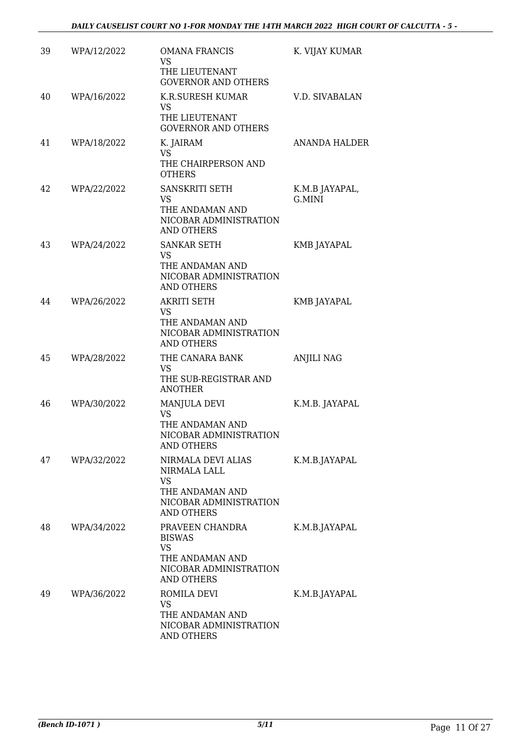| 39 | WPA/12/2022 | <b>OMANA FRANCIS</b><br>VS                                             | K. VIJAY KUMAR           |
|----|-------------|------------------------------------------------------------------------|--------------------------|
|    |             | THE LIEUTENANT<br><b>GOVERNOR AND OTHERS</b>                           |                          |
| 40 | WPA/16/2022 | K.R.SURESH KUMAR<br>VS<br>THE LIEUTENANT<br><b>GOVERNOR AND OTHERS</b> | V.D. SIVABALAN           |
| 41 | WPA/18/2022 | K. JAIRAM<br><b>VS</b>                                                 | <b>ANANDA HALDER</b>     |
|    |             | THE CHAIRPERSON AND<br><b>OTHERS</b>                                   |                          |
| 42 | WPA/22/2022 | SANSKRITI SETH<br>VS                                                   | K.M.B JAYAPAL,<br>G.MINI |
|    |             | THE ANDAMAN AND<br>NICOBAR ADMINISTRATION<br><b>AND OTHERS</b>         |                          |
| 43 | WPA/24/2022 | <b>SANKAR SETH</b><br><b>VS</b>                                        | KMB JAYAPAL              |
|    |             | THE ANDAMAN AND<br>NICOBAR ADMINISTRATION<br><b>AND OTHERS</b>         |                          |
| 44 | WPA/26/2022 | AKRITI SETH<br>VS                                                      | KMB JAYAPAL              |
|    |             | THE ANDAMAN AND<br>NICOBAR ADMINISTRATION<br><b>AND OTHERS</b>         |                          |
| 45 | WPA/28/2022 | THE CANARA BANK<br>VS                                                  | <b>ANJILI NAG</b>        |
|    |             | THE SUB-REGISTRAR AND<br><b>ANOTHER</b>                                |                          |
| 46 | WPA/30/2022 | MANJULA DEVI<br><b>VS</b>                                              | K.M.B. JAYAPAL           |
|    |             | THE ANDAMAN AND<br>NICOBAR ADMINISTRATION<br><b>AND OTHERS</b>         |                          |
| 47 | WPA/32/2022 | NIRMALA DEVI ALIAS<br>NIRMALA LALL<br><b>VS</b>                        | K.M.B.JAYAPAL            |
|    |             | THE ANDAMAN AND<br>NICOBAR ADMINISTRATION<br><b>AND OTHERS</b>         |                          |
| 48 | WPA/34/2022 | PRAVEEN CHANDRA<br><b>BISWAS</b>                                       | K.M.B.JAYAPAL            |
|    |             | <b>VS</b><br>THE ANDAMAN AND                                           |                          |
|    |             | NICOBAR ADMINISTRATION<br>AND OTHERS                                   |                          |
| 49 | WPA/36/2022 | ROMILA DEVI<br>VS                                                      | K.M.B.JAYAPAL            |
|    |             | THE ANDAMAN AND<br>NICOBAR ADMINISTRATION<br><b>AND OTHERS</b>         |                          |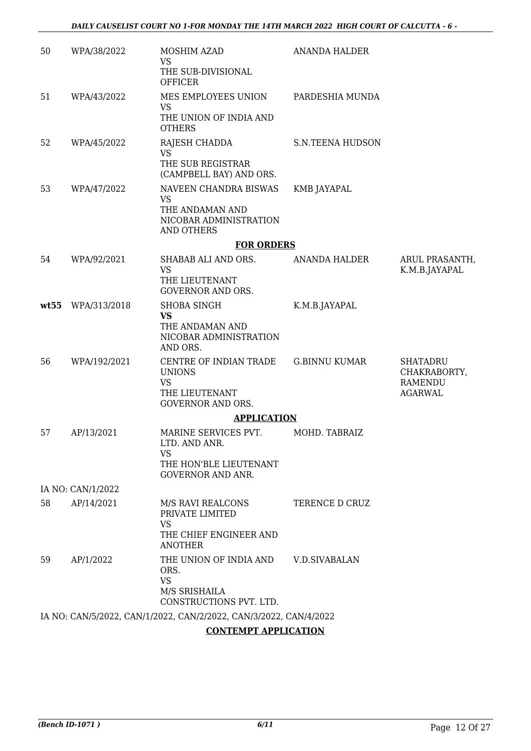| 50   | WPA/38/2022       | MOSHIM AZAD<br>VS                                                                                                                                                       | <b>ANANDA HALDER</b>    |                                                   |
|------|-------------------|-------------------------------------------------------------------------------------------------------------------------------------------------------------------------|-------------------------|---------------------------------------------------|
|      |                   | THE SUB-DIVISIONAL<br><b>OFFICER</b>                                                                                                                                    |                         |                                                   |
| 51   | WPA/43/2022       | MES EMPLOYEES UNION<br><b>VS</b>                                                                                                                                        | PARDESHIA MUNDA         |                                                   |
|      |                   | THE UNION OF INDIA AND<br><b>OTHERS</b>                                                                                                                                 |                         |                                                   |
| 52   | WPA/45/2022       | RAJESH CHADDA<br><b>VS</b><br>THE SUB REGISTRAR<br>(CAMPBELL BAY) AND ORS.                                                                                              | <b>S.N.TEENA HUDSON</b> |                                                   |
| 53   | WPA/47/2022       | NAVEEN CHANDRA BISWAS<br><b>VS</b><br>THE ANDAMAN AND<br>NICOBAR ADMINISTRATION<br>AND OTHERS                                                                           | KMB JAYAPAL             |                                                   |
|      |                   | <b>FOR ORDERS</b>                                                                                                                                                       |                         |                                                   |
| 54   | WPA/92/2021       | SHABAB ALI AND ORS.<br><b>VS</b><br>THE LIEUTENANT<br><b>GOVERNOR AND ORS.</b>                                                                                          | ANANDA HALDER           | ARUL PRASANTH,<br>K.M.B.JAYAPAL                   |
| wt55 | WPA/313/2018      | <b>SHOBA SINGH</b>                                                                                                                                                      | K.M.B.JAYAPAL           |                                                   |
|      |                   | <b>VS</b><br>THE ANDAMAN AND<br>NICOBAR ADMINISTRATION<br>AND ORS.                                                                                                      |                         |                                                   |
| 56   | WPA/192/2021      | CENTRE OF INDIAN TRADE<br><b>UNIONS</b><br><b>VS</b>                                                                                                                    | <b>G.BINNU KUMAR</b>    | <b>SHATADRU</b><br>CHAKRABORTY,<br><b>RAMENDU</b> |
|      |                   | THE LIEUTENANT<br><b>GOVERNOR AND ORS.</b>                                                                                                                              |                         | <b>AGARWAL</b>                                    |
|      |                   | <b>APPLICATION</b>                                                                                                                                                      |                         |                                                   |
| 57   | AP/13/2021        | MARINE SERVICES PVT.<br>LTD. AND ANR.<br>VS<br>THE HON'BLE LIEUTENANT                                                                                                   | MOHD. TABRAIZ           |                                                   |
|      |                   | <b>GOVERNOR AND ANR.</b>                                                                                                                                                |                         |                                                   |
|      | IA NO: CAN/1/2022 |                                                                                                                                                                         |                         |                                                   |
| 58   | AP/14/2021        | M/S RAVI REALCONS<br>PRIVATE LIMITED<br><b>VS</b><br>THE CHIEF ENGINEER AND<br><b>ANOTHER</b>                                                                           | TERENCE D CRUZ          |                                                   |
| 59   | AP/1/2022         | THE UNION OF INDIA AND<br>ORS.<br><b>VS</b><br>M/S SRISHAILA<br>CONSTRUCTIONS PVT. LTD.                                                                                 | <b>V.D.SIVABALAN</b>    |                                                   |
|      |                   | IA NO: CAN/5/2022, CAN/1/2022, CAN/2/2022, CAN/3/2022, CAN/4/2022                                                                                                       |                         |                                                   |
|      |                   | $\overline{O}$ ( $\overline{O}$ ) $\overline{O}$ ) $\overline{O}$ ) $\overline{O}$ ) $\overline{O}$ ) $\overline{O}$ ) $\overline{O}$ ) $\overline{O}$ ) $\overline{O}$ |                         |                                                   |

#### **CONTEMPT APPLICATION**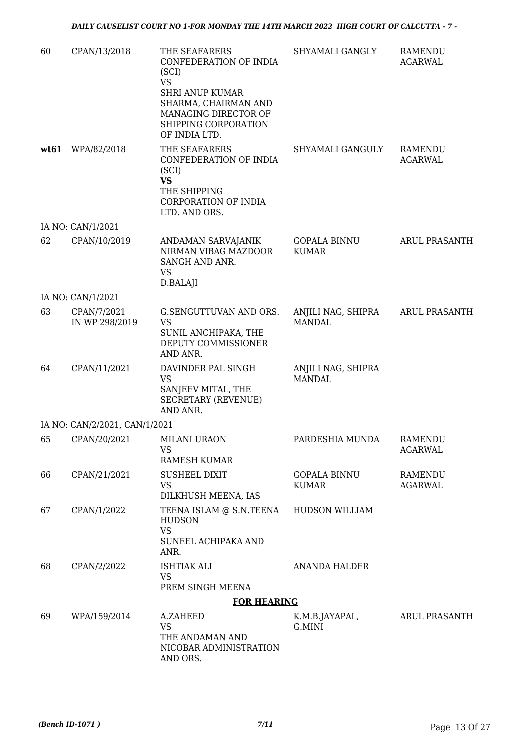| 60   | CPAN/13/2018                  | THE SEAFARERS<br>CONFEDERATION OF INDIA<br>(SCI)<br><b>VS</b><br><b>SHRI ANUP KUMAR</b><br>SHARMA, CHAIRMAN AND        | SHYAMALI GANGLY                     | <b>RAMENDU</b><br><b>AGARWAL</b> |
|------|-------------------------------|------------------------------------------------------------------------------------------------------------------------|-------------------------------------|----------------------------------|
|      |                               | MANAGING DIRECTOR OF<br>SHIPPING CORPORATION<br>OF INDIA LTD.                                                          |                                     |                                  |
| wt61 | WPA/82/2018                   | THE SEAFARERS<br>CONFEDERATION OF INDIA<br>(SCI)<br><b>VS</b><br>THE SHIPPING<br>CORPORATION OF INDIA<br>LTD. AND ORS. | SHYAMALI GANGULY                    | <b>RAMENDU</b><br><b>AGARWAL</b> |
|      | IA NO: CAN/1/2021             |                                                                                                                        |                                     |                                  |
| 62   | CPAN/10/2019                  | ANDAMAN SARVAJANIK<br>NIRMAN VIBAG MAZDOOR<br>SANGH AND ANR.<br><b>VS</b><br>D.BALAJI                                  | <b>GOPALA BINNU</b><br><b>KUMAR</b> | <b>ARUL PRASANTH</b>             |
|      | IA NO: CAN/1/2021             |                                                                                                                        |                                     |                                  |
| 63   | CPAN/7/2021<br>IN WP 298/2019 | G.SENGUTTUVAN AND ORS.<br><b>VS</b><br>SUNIL ANCHIPAKA, THE<br>DEPUTY COMMISSIONER<br>AND ANR.                         | ANJILI NAG, SHIPRA<br><b>MANDAL</b> | <b>ARUL PRASANTH</b>             |
| 64   | CPAN/11/2021                  | DAVINDER PAL SINGH<br><b>VS</b><br>SANJEEV MITAL, THE<br><b>SECRETARY (REVENUE)</b><br>AND ANR.                        | ANJILI NAG, SHIPRA<br><b>MANDAL</b> |                                  |
|      | IA NO: CAN/2/2021, CAN/1/2021 |                                                                                                                        |                                     |                                  |
| 65   | CPAN/20/2021                  | MILANI URAON<br><b>VS</b><br>RAMESH KUMAR                                                                              | PARDESHIA MUNDA                     | <b>RAMENDU</b><br><b>AGARWAL</b> |
| 66   | CPAN/21/2021                  | <b>SUSHEEL DIXIT</b><br>VS<br>DILKHUSH MEENA, IAS                                                                      | <b>GOPALA BINNU</b><br><b>KUMAR</b> | RAMENDU<br><b>AGARWAL</b>        |
| 67   | CPAN/1/2022                   | TEENA ISLAM @ S.N.TEENA<br><b>HUDSON</b><br><b>VS</b><br>SUNEEL ACHIPAKA AND<br>ANR.                                   | <b>HUDSON WILLIAM</b>               |                                  |
| 68   | CPAN/2/2022                   | <b>ISHTIAK ALI</b><br><b>VS</b>                                                                                        | ANANDA HALDER                       |                                  |
|      |                               | PREM SINGH MEENA                                                                                                       |                                     |                                  |
| 69   | WPA/159/2014                  | <b>FOR HEARING</b><br>A.ZAHEED                                                                                         |                                     | <b>ARUL PRASANTH</b>             |
|      |                               | <b>VS</b><br>THE ANDAMAN AND<br>NICOBAR ADMINISTRATION<br>AND ORS.                                                     | K.M.B.JAYAPAL,<br>G.MINI            |                                  |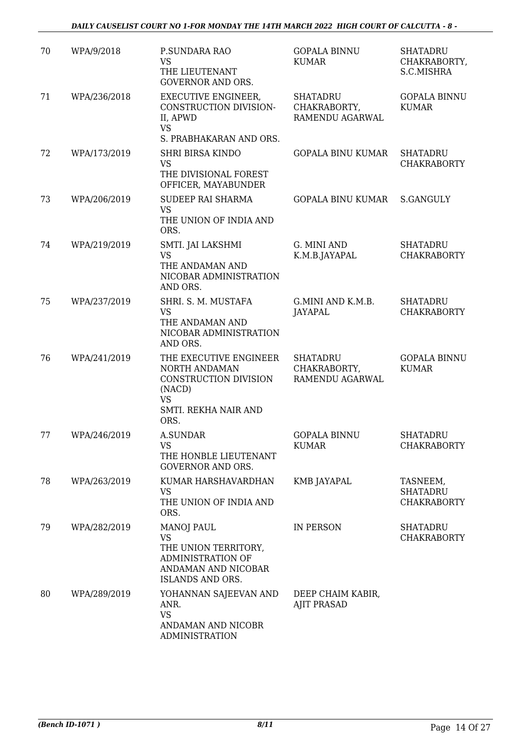| 70 | WPA/9/2018   | P.SUNDARA RAO<br><b>VS</b><br>THE LIEUTENANT<br><b>GOVERNOR AND ORS.</b>                                                | <b>GOPALA BINNU</b><br><b>KUMAR</b>                | <b>SHATADRU</b><br>CHAKRABORTY,<br>S.C.MISHRA     |
|----|--------------|-------------------------------------------------------------------------------------------------------------------------|----------------------------------------------------|---------------------------------------------------|
| 71 | WPA/236/2018 | <b>EXECUTIVE ENGINEER,</b><br>CONSTRUCTION DIVISION-<br>II, APWD<br><b>VS</b>                                           | <b>SHATADRU</b><br>CHAKRABORTY,<br>RAMENDU AGARWAL | <b>GOPALA BINNU</b><br><b>KUMAR</b>               |
| 72 | WPA/173/2019 | S. PRABHAKARAN AND ORS.<br><b>SHRI BIRSA KINDO</b><br><b>VS</b><br>THE DIVISIONAL FOREST                                | <b>GOPALA BINU KUMAR</b>                           | <b>SHATADRU</b><br><b>CHAKRABORTY</b>             |
| 73 | WPA/206/2019 | OFFICER, MAYABUNDER<br>SUDEEP RAI SHARMA<br><b>VS</b><br>THE UNION OF INDIA AND<br>ORS.                                 | GOPALA BINU KUMAR                                  | S.GANGULY                                         |
| 74 | WPA/219/2019 | SMTI. JAI LAKSHMI<br><b>VS</b><br>THE ANDAMAN AND<br>NICOBAR ADMINISTRATION<br>AND ORS.                                 | G. MINI AND<br>K.M.B.JAYAPAL                       | <b>SHATADRU</b><br><b>CHAKRABORTY</b>             |
| 75 | WPA/237/2019 | SHRI. S. M. MUSTAFA<br><b>VS</b><br>THE ANDAMAN AND<br>NICOBAR ADMINISTRATION<br>AND ORS.                               | G.MINI AND K.M.B.<br>JAYAPAL                       | <b>SHATADRU</b><br><b>CHAKRABORTY</b>             |
| 76 | WPA/241/2019 | THE EXECUTIVE ENGINEER<br>NORTH ANDAMAN<br>CONSTRUCTION DIVISION<br>(NACD)<br><b>VS</b><br>SMTI. REKHA NAIR AND<br>ORS. | <b>SHATADRU</b><br>CHAKRABORTY,<br>RAMENDU AGARWAL | <b>GOPALA BINNU</b><br><b>KUMAR</b>               |
| 77 | WPA/246/2019 | <b>A.SUNDAR</b><br><b>VS</b><br>THE HONBLE LIEUTENANT<br><b>GOVERNOR AND ORS.</b>                                       | <b>GOPALA BINNU</b><br><b>KUMAR</b>                | <b>SHATADRU</b><br><b>CHAKRABORTY</b>             |
| 78 | WPA/263/2019 | KUMAR HARSHAVARDHAN<br><b>VS</b><br>THE UNION OF INDIA AND<br>ORS.                                                      | KMB JAYAPAL                                        | TASNEEM,<br><b>SHATADRU</b><br><b>CHAKRABORTY</b> |
| 79 | WPA/282/2019 | <b>MANOJ PAUL</b><br>VS<br>THE UNION TERRITORY,<br><b>ADMINISTRATION OF</b><br>ANDAMAN AND NICOBAR<br>ISLANDS AND ORS.  | IN PERSON                                          | SHATADRU<br><b>CHAKRABORTY</b>                    |
| 80 | WPA/289/2019 | YOHANNAN SAJEEVAN AND<br>ANR.<br><b>VS</b><br>ANDAMAN AND NICOBR<br><b>ADMINISTRATION</b>                               | DEEP CHAIM KABIR,<br><b>AJIT PRASAD</b>            |                                                   |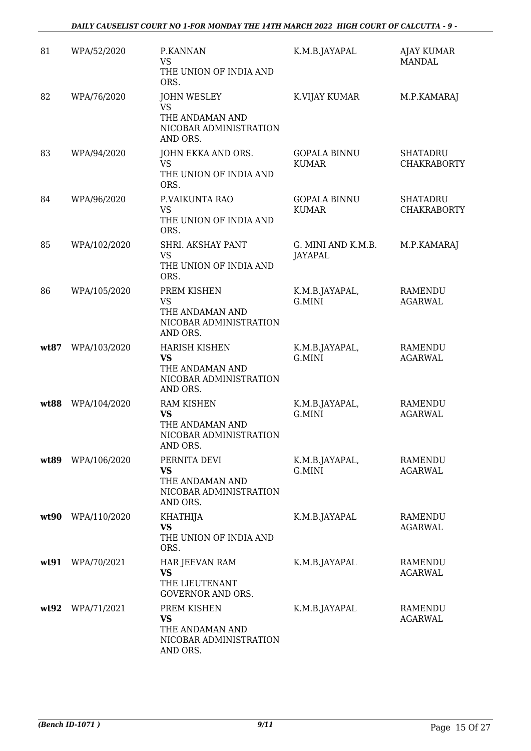| 81   | WPA/52/2020  | P.KANNAN<br><b>VS</b><br>THE UNION OF INDIA AND<br>ORS.                                    | K.M.B.JAYAPAL                        | <b>AJAY KUMAR</b><br><b>MANDAL</b>    |
|------|--------------|--------------------------------------------------------------------------------------------|--------------------------------------|---------------------------------------|
| 82   | WPA/76/2020  | <b>JOHN WESLEY</b><br><b>VS</b><br>THE ANDAMAN AND<br>NICOBAR ADMINISTRATION<br>AND ORS.   | K.VIJAY KUMAR                        | M.P.KAMARAJ                           |
| 83   | WPA/94/2020  | JOHN EKKA AND ORS.<br>VS<br>THE UNION OF INDIA AND<br>ORS.                                 | <b>GOPALA BINNU</b><br><b>KUMAR</b>  | <b>SHATADRU</b><br><b>CHAKRABORTY</b> |
| 84   | WPA/96/2020  | P.VAIKUNTA RAO<br>VS<br>THE UNION OF INDIA AND<br>ORS.                                     | <b>GOPALA BINNU</b><br><b>KUMAR</b>  | <b>SHATADRU</b><br><b>CHAKRABORTY</b> |
| 85   | WPA/102/2020 | SHRI. AKSHAY PANT<br><b>VS</b><br>THE UNION OF INDIA AND<br>ORS.                           | G. MINI AND K.M.B.<br><b>JAYAPAL</b> | M.P.KAMARAJ                           |
| 86   | WPA/105/2020 | PREM KISHEN<br><b>VS</b><br>THE ANDAMAN AND<br>NICOBAR ADMINISTRATION<br>AND ORS.          | K.M.B.JAYAPAL,<br>G.MINI             | <b>RAMENDU</b><br><b>AGARWAL</b>      |
| wt87 | WPA/103/2020 | <b>HARISH KISHEN</b><br><b>VS</b><br>THE ANDAMAN AND<br>NICOBAR ADMINISTRATION<br>AND ORS. | K.M.B.JAYAPAL,<br>G.MINI             | <b>RAMENDU</b><br><b>AGARWAL</b>      |
| wt88 | WPA/104/2020 | <b>RAM KISHEN</b><br><b>VS</b><br>THE ANDAMAN AND<br>NICOBAR ADMINISTRATION<br>AND ORS.    | K.M.B.JAYAPAL,<br>G.MINI             | <b>RAMENDU</b><br><b>AGARWAL</b>      |
| wt89 | WPA/106/2020 | PERNITA DEVI<br><b>VS</b><br>THE ANDAMAN AND<br>NICOBAR ADMINISTRATION<br>AND ORS.         | K.M.B.JAYAPAL,<br>G.MINI             | <b>RAMENDU</b><br><b>AGARWAL</b>      |
| wt90 | WPA/110/2020 | <b>KHATHIJA</b><br>VS<br>THE UNION OF INDIA AND<br>ORS.                                    | K.M.B.JAYAPAL                        | <b>RAMENDU</b><br><b>AGARWAL</b>      |
| wt91 | WPA/70/2021  | HAR JEEVAN RAM<br><b>VS</b><br>THE LIEUTENANT<br><b>GOVERNOR AND ORS.</b>                  | K.M.B.JAYAPAL                        | <b>RAMENDU</b><br><b>AGARWAL</b>      |
| wt92 | WPA/71/2021  | PREM KISHEN<br>VS<br>THE ANDAMAN AND<br>NICOBAR ADMINISTRATION<br>AND ORS.                 | K.M.B.JAYAPAL                        | <b>RAMENDU</b><br><b>AGARWAL</b>      |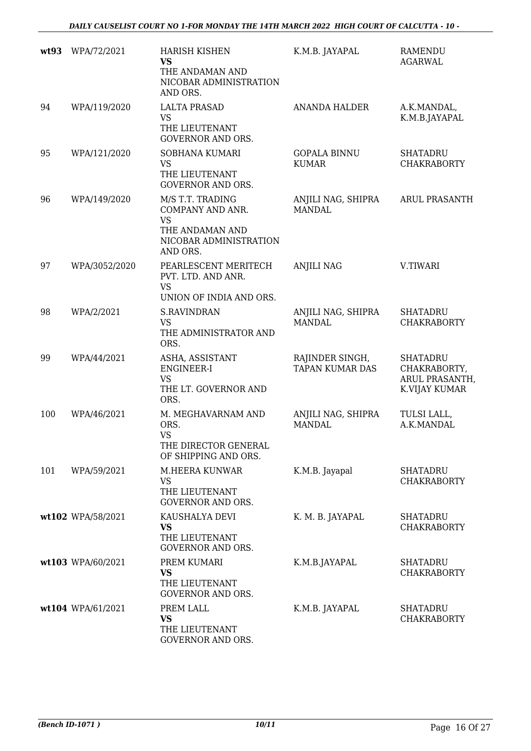| wt93 | WPA/72/2021       | <b>HARISH KISHEN</b><br><b>VS</b><br>THE ANDAMAN AND<br>NICOBAR ADMINISTRATION<br>AND ORS.                 | K.M.B. JAYAPAL                            | <b>RAMENDU</b><br><b>AGARWAL</b>                                   |
|------|-------------------|------------------------------------------------------------------------------------------------------------|-------------------------------------------|--------------------------------------------------------------------|
| 94   | WPA/119/2020      | <b>LALTA PRASAD</b><br><b>VS</b><br>THE LIEUTENANT<br><b>GOVERNOR AND ORS.</b>                             | <b>ANANDA HALDER</b>                      | A.K.MANDAL,<br>K.M.B.JAYAPAL                                       |
| 95   | WPA/121/2020      | SOBHANA KUMARI<br><b>VS</b><br>THE LIEUTENANT<br><b>GOVERNOR AND ORS.</b>                                  | <b>GOPALA BINNU</b><br><b>KUMAR</b>       | <b>SHATADRU</b><br><b>CHAKRABORTY</b>                              |
| 96   | WPA/149/2020      | M/S T.T. TRADING<br>COMPANY AND ANR.<br><b>VS</b><br>THE ANDAMAN AND<br>NICOBAR ADMINISTRATION<br>AND ORS. | ANJILI NAG, SHIPRA<br><b>MANDAL</b>       | <b>ARUL PRASANTH</b>                                               |
| 97   | WPA/3052/2020     | PEARLESCENT MERITECH<br>PVT. LTD. AND ANR.<br><b>VS</b><br>UNION OF INDIA AND ORS.                         | <b>ANJILI NAG</b>                         | V.TIWARI                                                           |
| 98   | WPA/2/2021        | <b>S.RAVINDRAN</b><br><b>VS</b><br>THE ADMINISTRATOR AND<br>ORS.                                           | ANJILI NAG, SHIPRA<br><b>MANDAL</b>       | <b>SHATADRU</b><br><b>CHAKRABORTY</b>                              |
| 99   | WPA/44/2021       | ASHA, ASSISTANT<br>ENGINEER-I<br><b>VS</b><br>THE LT. GOVERNOR AND<br>ORS.                                 | RAJINDER SINGH,<br><b>TAPAN KUMAR DAS</b> | <b>SHATADRU</b><br>CHAKRABORTY,<br>ARUL PRASANTH,<br>K.VIJAY KUMAR |
| 100  | WPA/46/2021       | M. MEGHAVARNAM AND<br>ORS.<br><b>VS</b><br>THE DIRECTOR GENERAL<br>OF SHIPPING AND ORS.                    | ANJILI NAG, SHIPRA<br><b>MANDAL</b>       | TULSI LALL,<br>A.K.MANDAL                                          |
| 101  | WPA/59/2021       | M.HEERA KUNWAR<br><b>VS</b><br>THE LIEUTENANT<br><b>GOVERNOR AND ORS.</b>                                  | K.M.B. Jayapal                            | <b>SHATADRU</b><br><b>CHAKRABORTY</b>                              |
|      | wt102 WPA/58/2021 | KAUSHALYA DEVI<br>VS<br>THE LIEUTENANT<br><b>GOVERNOR AND ORS.</b>                                         | K. M. B. JAYAPAL                          | <b>SHATADRU</b><br><b>CHAKRABORTY</b>                              |
|      | wt103 WPA/60/2021 | PREM KUMARI<br>VS<br>THE LIEUTENANT<br><b>GOVERNOR AND ORS.</b>                                            | K.M.B.JAYAPAL                             | <b>SHATADRU</b><br><b>CHAKRABORTY</b>                              |
|      | wt104 WPA/61/2021 | PREM LALL<br><b>VS</b><br>THE LIEUTENANT<br>GOVERNOR AND ORS.                                              | K.M.B. JAYAPAL                            | <b>SHATADRU</b><br><b>CHAKRABORTY</b>                              |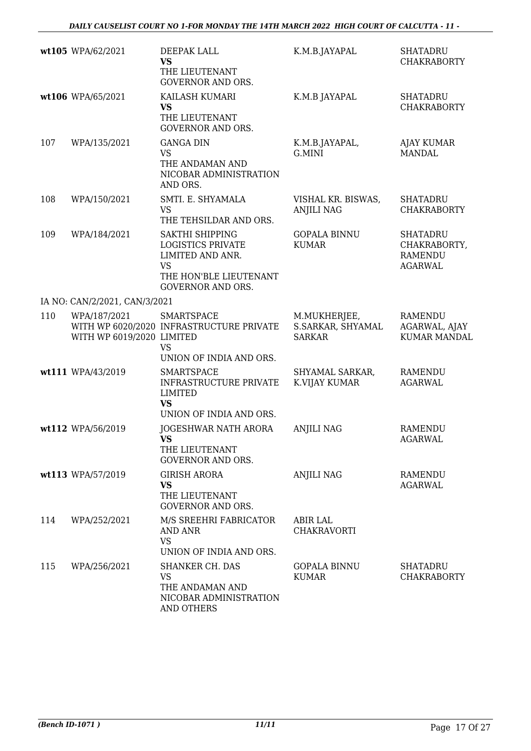|     | wt105 WPA/62/2021                         | DEEPAK LALL<br><b>VS</b><br>THE LIEUTENANT<br><b>GOVERNOR AND ORS.</b>                                                             | K.M.B.JAYAPAL                                      | <b>SHATADRU</b><br><b>CHAKRABORTY</b>                               |
|-----|-------------------------------------------|------------------------------------------------------------------------------------------------------------------------------------|----------------------------------------------------|---------------------------------------------------------------------|
|     | wt106 WPA/65/2021                         | KAILASH KUMARI<br><b>VS</b><br>THE LIEUTENANT<br><b>GOVERNOR AND ORS.</b>                                                          | K.M.B JAYAPAL                                      | <b>SHATADRU</b><br><b>CHAKRABORTY</b>                               |
| 107 | WPA/135/2021                              | <b>GANGA DIN</b><br><b>VS</b><br>THE ANDAMAN AND<br>NICOBAR ADMINISTRATION<br>AND ORS.                                             | K.M.B.JAYAPAL,<br>G.MINI                           | <b>AJAY KUMAR</b><br><b>MANDAL</b>                                  |
| 108 | WPA/150/2021                              | SMTI. E. SHYAMALA<br><b>VS</b><br>THE TEHSILDAR AND ORS.                                                                           | VISHAL KR. BISWAS,<br><b>ANJILI NAG</b>            | <b>SHATADRU</b><br><b>CHAKRABORTY</b>                               |
| 109 | WPA/184/2021                              | SAKTHI SHIPPING<br><b>LOGISTICS PRIVATE</b><br>LIMITED AND ANR.<br><b>VS</b><br>THE HON'BLE LIEUTENANT<br><b>GOVERNOR AND ORS.</b> | <b>GOPALA BINNU</b><br><b>KUMAR</b>                | <b>SHATADRU</b><br>CHAKRABORTY,<br><b>RAMENDU</b><br><b>AGARWAL</b> |
|     | IA NO: CAN/2/2021, CAN/3/2021             |                                                                                                                                    |                                                    |                                                                     |
| 110 | WPA/187/2021<br>WITH WP 6019/2020 LIMITED | <b>SMARTSPACE</b><br>WITH WP 6020/2020 INFRASTRUCTURE PRIVATE<br><b>VS</b>                                                         | M.MUKHERJEE,<br>S.SARKAR, SHYAMAL<br><b>SARKAR</b> | <b>RAMENDU</b><br>AGARWAL, AJAY<br><b>KUMAR MANDAL</b>              |
|     |                                           | UNION OF INDIA AND ORS.                                                                                                            |                                                    |                                                                     |
|     | wt111 WPA/43/2019                         | <b>SMARTSPACE</b><br>INFRASTRUCTURE PRIVATE<br><b>LIMITED</b><br><b>VS</b><br>UNION OF INDIA AND ORS.                              | SHYAMAL SARKAR,<br>K.VIJAY KUMAR                   | <b>RAMENDU</b><br><b>AGARWAL</b>                                    |
|     | wt112 WPA/56/2019                         | JOGESHWAR NATH ARORA<br>THE LIEUTENANT<br><b>GOVERNOR AND ORS.</b>                                                                 | <b>ANJILI NAG</b>                                  | <b>RAMENDU</b><br><b>AGARWAL</b>                                    |
|     | wt113 WPA/57/2019                         | <b>GIRISH ARORA</b><br><b>VS</b><br>THE LIEUTENANT<br><b>GOVERNOR AND ORS.</b>                                                     | <b>ANJILI NAG</b>                                  | RAMENDU<br>AGARWAL                                                  |
| 114 | WPA/252/2021                              | M/S SREEHRI FABRICATOR<br>AND ANR<br><b>VS</b><br>UNION OF INDIA AND ORS.                                                          | <b>ABIR LAL</b><br>CHAKRAVORTI                     |                                                                     |
| 115 | WPA/256/2021                              | <b>SHANKER CH. DAS</b><br><b>VS</b><br>THE ANDAMAN AND<br>NICOBAR ADMINISTRATION<br>AND OTHERS                                     | <b>GOPALA BINNU</b><br><b>KUMAR</b>                | <b>SHATADRU</b><br><b>CHAKRABORTY</b>                               |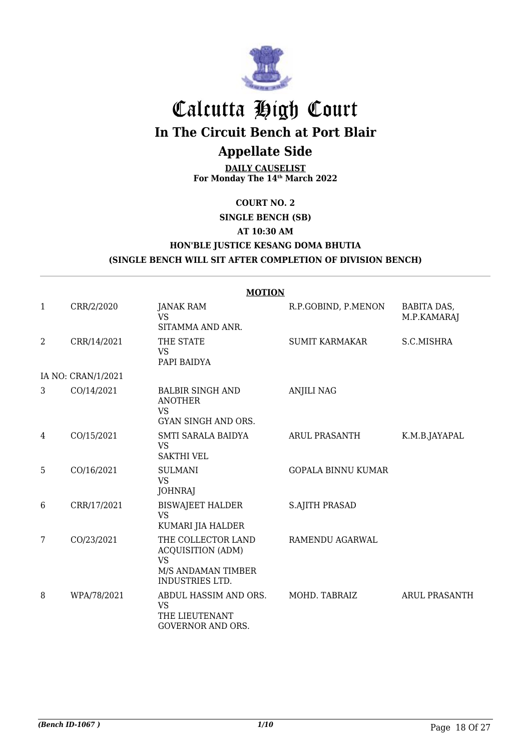

## Calcutta High Court

**In The Circuit Bench at Port Blair**

## **Appellate Side**

**DAILY CAUSELIST For Monday The 14th March 2022**

#### **COURT NO. 2**

#### **SINGLE BENCH (SB)**

#### **AT 10:30 AM**

#### **HON'BLE JUSTICE KESANG DOMA BHUTIA (SINGLE BENCH WILL SIT AFTER COMPLETION OF DIVISION BENCH)**

|   | <b>MOTION</b>      |                                                                                                             |                           |                                   |  |  |
|---|--------------------|-------------------------------------------------------------------------------------------------------------|---------------------------|-----------------------------------|--|--|
| 1 | CRR/2/2020         | <b>JANAK RAM</b><br><b>VS</b><br>SITAMMA AND ANR.                                                           | R.P.GOBIND, P.MENON       | <b>BABITA DAS,</b><br>M.P.KAMARAJ |  |  |
| 2 | CRR/14/2021        | THE STATE<br><b>VS</b><br>PAPI BAIDYA                                                                       | <b>SUMIT KARMAKAR</b>     | S.C.MISHRA                        |  |  |
|   | IA NO: CRAN/1/2021 |                                                                                                             |                           |                                   |  |  |
| 3 | CO/14/2021         | <b>BALBIR SINGH AND</b><br><b>ANOTHER</b><br><b>VS</b><br><b>GYAN SINGH AND ORS.</b>                        | <b>ANJILI NAG</b>         |                                   |  |  |
| 4 | CO/15/2021         | SMTI SARALA BAIDYA<br><b>VS</b><br><b>SAKTHI VEL</b>                                                        | <b>ARUL PRASANTH</b>      | K.M.B.JAYAPAL                     |  |  |
| 5 | CO/16/2021         | <b>SULMANI</b><br><b>VS</b><br><b>JOHNRAJ</b>                                                               | <b>GOPALA BINNU KUMAR</b> |                                   |  |  |
| 6 | CRR/17/2021        | <b>BISWAJEET HALDER</b><br><b>VS</b><br>KUMARI JIA HALDER                                                   | <b>S.AJITH PRASAD</b>     |                                   |  |  |
| 7 | CO/23/2021         | THE COLLECTOR LAND<br><b>ACQUISITION (ADM)</b><br><b>VS</b><br>M/S ANDAMAN TIMBER<br><b>INDUSTRIES LTD.</b> | RAMENDU AGARWAL           |                                   |  |  |
| 8 | WPA/78/2021        | ABDUL HASSIM AND ORS.<br>VS<br>THE LIEUTENANT<br><b>GOVERNOR AND ORS.</b>                                   | MOHD. TABRAIZ             | <b>ARUL PRASANTH</b>              |  |  |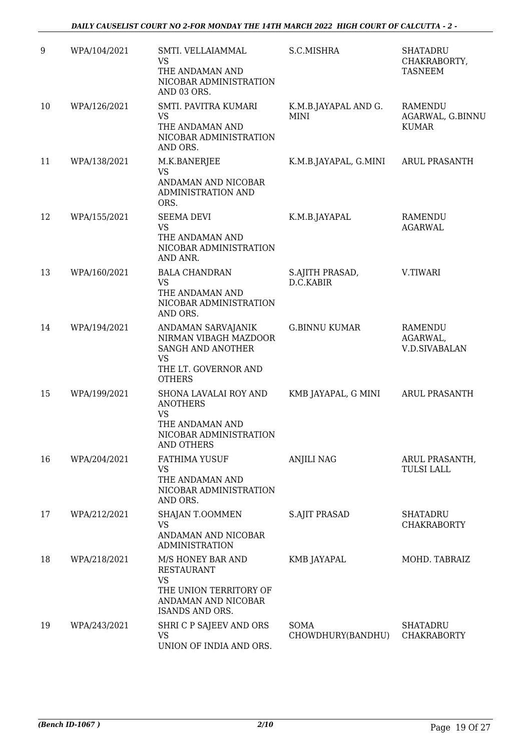| 9  | WPA/104/2021 | SMTI. VELLAIAMMAL<br><b>VS</b><br>THE ANDAMAN AND<br>NICOBAR ADMINISTRATION<br>AND 03 ORS.                              | S.C.MISHRA                   | <b>SHATADRU</b><br>CHAKRABORTY,<br><b>TASNEEM</b> |
|----|--------------|-------------------------------------------------------------------------------------------------------------------------|------------------------------|---------------------------------------------------|
| 10 | WPA/126/2021 | SMTI. PAVITRA KUMARI<br><b>VS</b><br>THE ANDAMAN AND<br>NICOBAR ADMINISTRATION<br>AND ORS.                              | K.M.B.JAYAPAL AND G.<br>MINI | RAMENDU<br>AGARWAL, G.BINNU<br><b>KUMAR</b>       |
| 11 | WPA/138/2021 | M.K.BANERJEE<br><b>VS</b><br>ANDAMAN AND NICOBAR<br><b>ADMINISTRATION AND</b><br>ORS.                                   | K.M.B.JAYAPAL, G.MINI        | <b>ARUL PRASANTH</b>                              |
| 12 | WPA/155/2021 | <b>SEEMA DEVI</b><br><b>VS</b><br>THE ANDAMAN AND<br>NICOBAR ADMINISTRATION<br>AND ANR.                                 | K.M.B.JAYAPAL                | <b>RAMENDU</b><br><b>AGARWAL</b>                  |
| 13 | WPA/160/2021 | <b>BALA CHANDRAN</b><br><b>VS</b><br>THE ANDAMAN AND<br>NICOBAR ADMINISTRATION<br>AND ORS.                              | S.AJITH PRASAD,<br>D.C.KABIR | V.TIWARI                                          |
| 14 | WPA/194/2021 | ANDAMAN SARVAJANIK<br>NIRMAN VIBAGH MAZDOOR<br>SANGH AND ANOTHER<br>VS<br>THE LT. GOVERNOR AND<br><b>OTHERS</b>         | <b>G.BINNU KUMAR</b>         | RAMENDU<br>AGARWAL,<br><b>V.D.SIVABALAN</b>       |
| 15 | WPA/199/2021 | SHONA LAVALAI ROY AND<br><b>ANOTHERS</b><br><b>VS</b><br>THE ANDAMAN AND<br>NICOBAR ADMINISTRATION<br>AND OTHERS        | KMB JAYAPAL, G MINI          | <b>ARUL PRASANTH</b>                              |
| 16 | WPA/204/2021 | <b>FATHIMA YUSUF</b><br><b>VS</b><br>THE ANDAMAN AND<br>NICOBAR ADMINISTRATION<br>AND ORS.                              | <b>ANJILI NAG</b>            | ARUL PRASANTH,<br><b>TULSI LALL</b>               |
| 17 | WPA/212/2021 | <b>SHAJAN T.OOMMEN</b><br>VS<br>ANDAMAN AND NICOBAR<br><b>ADMINISTRATION</b>                                            | <b>S.AJIT PRASAD</b>         | SHATADRU<br><b>CHAKRABORTY</b>                    |
| 18 | WPA/218/2021 | M/S HONEY BAR AND<br><b>RESTAURANT</b><br><b>VS</b><br>THE UNION TERRITORY OF<br>ANDAMAN AND NICOBAR<br>ISANDS AND ORS. | KMB JAYAPAL                  | MOHD. TABRAIZ                                     |
| 19 | WPA/243/2021 | SHRI C P SAJEEV AND ORS<br><b>VS</b><br>UNION OF INDIA AND ORS.                                                         | SOMA<br>CHOWDHURY(BANDHU)    | SHATADRU<br><b>CHAKRABORTY</b>                    |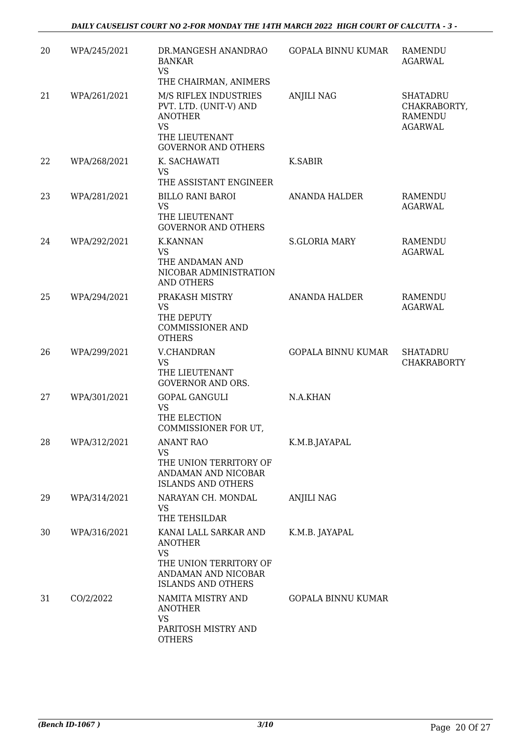| 20 | WPA/245/2021 | DR.MANGESH ANANDRAO<br><b>BANKAR</b><br><b>VS</b><br>THE CHAIRMAN, ANIMERS                                                     | <b>GOPALA BINNU KUMAR</b> | <b>RAMENDU</b><br><b>AGARWAL</b>                                    |
|----|--------------|--------------------------------------------------------------------------------------------------------------------------------|---------------------------|---------------------------------------------------------------------|
| 21 | WPA/261/2021 | M/S RIFLEX INDUSTRIES<br>PVT. LTD. (UNIT-V) AND<br><b>ANOTHER</b><br><b>VS</b><br>THE LIEUTENANT<br><b>GOVERNOR AND OTHERS</b> | <b>ANJILI NAG</b>         | <b>SHATADRU</b><br>CHAKRABORTY,<br><b>RAMENDU</b><br><b>AGARWAL</b> |
| 22 | WPA/268/2021 | K. SACHAWATI<br><b>VS</b><br>THE ASSISTANT ENGINEER                                                                            | K.SABIR                   |                                                                     |
| 23 | WPA/281/2021 | <b>BILLO RANI BAROI</b><br><b>VS</b><br>THE LIEUTENANT<br><b>GOVERNOR AND OTHERS</b>                                           | <b>ANANDA HALDER</b>      | <b>RAMENDU</b><br><b>AGARWAL</b>                                    |
| 24 | WPA/292/2021 | <b>K.KANNAN</b><br><b>VS</b><br>THE ANDAMAN AND<br>NICOBAR ADMINISTRATION<br><b>AND OTHERS</b>                                 | <b>S.GLORIA MARY</b>      | <b>RAMENDU</b><br><b>AGARWAL</b>                                    |
| 25 | WPA/294/2021 | PRAKASH MISTRY<br><b>VS</b><br>THE DEPUTY<br><b>COMMISSIONER AND</b><br><b>OTHERS</b>                                          | <b>ANANDA HALDER</b>      | RAMENDU<br><b>AGARWAL</b>                                           |
| 26 | WPA/299/2021 | <b>V.CHANDRAN</b><br><b>VS</b><br>THE LIEUTENANT<br><b>GOVERNOR AND ORS.</b>                                                   | <b>GOPALA BINNU KUMAR</b> | <b>SHATADRU</b><br><b>CHAKRABORTY</b>                               |
| 27 | WPA/301/2021 | <b>GOPAL GANGULI</b><br><b>VS</b><br>THE ELECTION<br>COMMISSIONER FOR UT,                                                      | N.A.KHAN                  |                                                                     |
| 28 | WPA/312/2021 | <b>ANANT RAO</b><br>VS<br>THE UNION TERRITORY OF<br>ANDAMAN AND NICOBAR<br><b>ISLANDS AND OTHERS</b>                           | K.M.B.JAYAPAL             |                                                                     |
| 29 | WPA/314/2021 | NARAYAN CH. MONDAL<br>VS<br>THE TEHSILDAR                                                                                      | <b>ANJILI NAG</b>         |                                                                     |
| 30 | WPA/316/2021 | KANAI LALL SARKAR AND<br><b>ANOTHER</b><br>VS<br>THE UNION TERRITORY OF<br>ANDAMAN AND NICOBAR<br><b>ISLANDS AND OTHERS</b>    | K.M.B. JAYAPAL            |                                                                     |
| 31 | CO/2/2022    | NAMITA MISTRY AND<br><b>ANOTHER</b><br><b>VS</b><br>PARITOSH MISTRY AND<br><b>OTHERS</b>                                       | <b>GOPALA BINNU KUMAR</b> |                                                                     |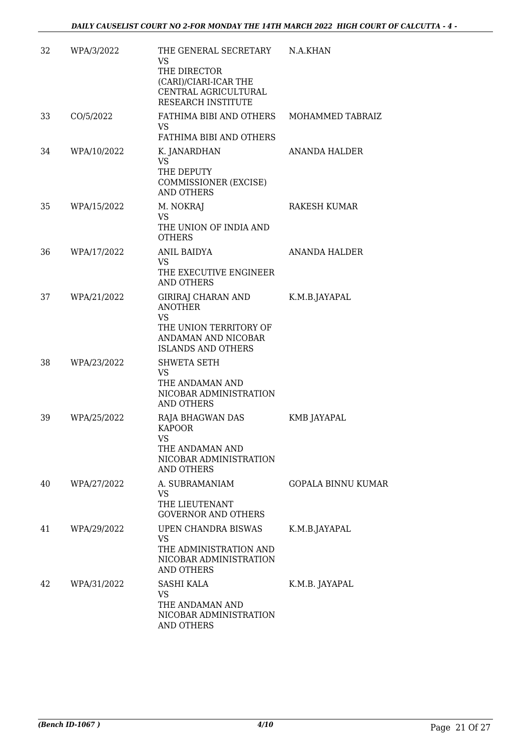| 32 | WPA/3/2022  | THE GENERAL SECRETARY<br>VS.<br>THE DIRECTOR<br>(CARI)/CIARI-ICAR THE<br>CENTRAL AGRICULTURAL<br>RESEARCH INSTITUTE             | N.A.KHAN                  |
|----|-------------|---------------------------------------------------------------------------------------------------------------------------------|---------------------------|
| 33 | CO/5/2022   | FATHIMA BIBI AND OTHERS MOHAMMED TABRAIZ<br>VS.<br>FATHIMA BIBI AND OTHERS                                                      |                           |
| 34 | WPA/10/2022 | K. JANARDHAN<br><b>VS</b><br>THE DEPUTY<br>COMMISSIONER (EXCISE)<br><b>AND OTHERS</b>                                           | ANANDA HALDER             |
| 35 | WPA/15/2022 | M. NOKRAJ<br><b>VS</b><br>THE UNION OF INDIA AND<br><b>OTHERS</b>                                                               | RAKESH KUMAR              |
| 36 | WPA/17/2022 | ANIL BAIDYA<br>VS<br>THE EXECUTIVE ENGINEER<br><b>AND OTHERS</b>                                                                | ANANDA HALDER             |
| 37 | WPA/21/2022 | GIRIRAJ CHARAN AND<br><b>ANOTHER</b><br><b>VS</b><br>THE UNION TERRITORY OF<br>ANDAMAN AND NICOBAR<br><b>ISLANDS AND OTHERS</b> | K.M.B.JAYAPAL             |
| 38 | WPA/23/2022 | <b>SHWETA SETH</b><br><b>VS</b><br>THE ANDAMAN AND<br>NICOBAR ADMINISTRATION<br><b>AND OTHERS</b>                               |                           |
| 39 | WPA/25/2022 | RAJA BHAGWAN DAS<br><b>KAPOOR</b><br>VS<br>THE ANDAMAN AND<br>NICOBAR ADMINISTRATION<br><b>AND OTHERS</b>                       | KMB JAYAPAL               |
| 40 | WPA/27/2022 | A. SUBRAMANIAM<br><b>VS</b><br>THE LIEUTENANT<br><b>GOVERNOR AND OTHERS</b>                                                     | <b>GOPALA BINNU KUMAR</b> |
| 41 | WPA/29/2022 | UPEN CHANDRA BISWAS<br>VS<br>THE ADMINISTRATION AND<br>NICOBAR ADMINISTRATION<br>AND OTHERS                                     | K.M.B.JAYAPAL             |
| 42 | WPA/31/2022 | <b>SASHI KALA</b><br><b>VS</b><br>THE ANDAMAN AND<br>NICOBAR ADMINISTRATION<br><b>AND OTHERS</b>                                | K.M.B. JAYAPAL            |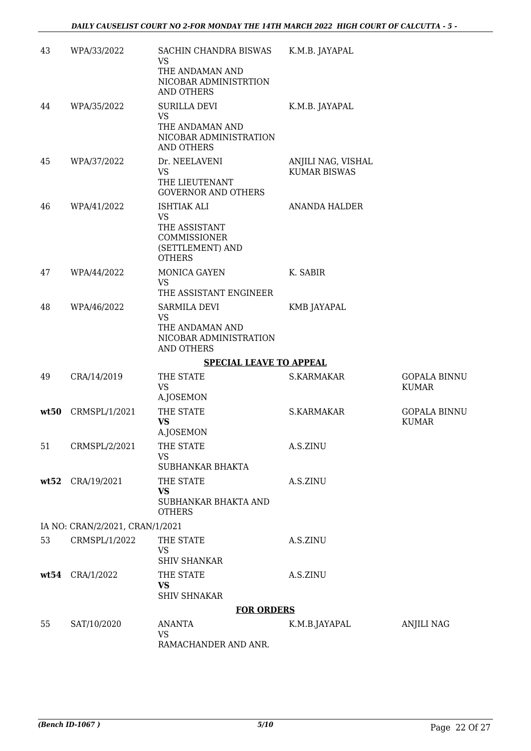| 43   | WPA/33/2022                     | SACHIN CHANDRA BISWAS<br>VS.<br>THE ANDAMAN AND<br>NICOBAR ADMINISTRTION<br><b>AND OTHERS</b>         | K.M.B. JAYAPAL                            |                                     |
|------|---------------------------------|-------------------------------------------------------------------------------------------------------|-------------------------------------------|-------------------------------------|
| 44   | WPA/35/2022                     | <b>SURILLA DEVI</b><br><b>VS</b><br>THE ANDAMAN AND<br>NICOBAR ADMINISTRATION<br><b>AND OTHERS</b>    | K.M.B. JAYAPAL                            |                                     |
| 45   | WPA/37/2022                     | Dr. NEELAVENI<br>VS<br>THE LIEUTENANT<br><b>GOVERNOR AND OTHERS</b>                                   | ANJILI NAG, VISHAL<br><b>KUMAR BISWAS</b> |                                     |
| 46   | WPA/41/2022                     | <b>ISHTIAK ALI</b><br>VS<br>THE ASSISTANT<br><b>COMMISSIONER</b><br>(SETTLEMENT) AND<br><b>OTHERS</b> | <b>ANANDA HALDER</b>                      |                                     |
| 47   | WPA/44/2022                     | MONICA GAYEN<br><b>VS</b><br>THE ASSISTANT ENGINEER                                                   | K. SABIR                                  |                                     |
| 48   | WPA/46/2022                     | SARMILA DEVI<br><b>VS</b><br>THE ANDAMAN AND<br>NICOBAR ADMINISTRATION<br><b>AND OTHERS</b>           | <b>KMB JAYAPAL</b>                        |                                     |
|      |                                 | <b>SPECIAL LEAVE TO APPEAL</b>                                                                        |                                           |                                     |
| 49   | CRA/14/2019                     | THE STATE<br><b>VS</b><br>A.JOSEMON                                                                   | S.KARMAKAR                                | <b>GOPALA BINNU</b><br><b>KUMAR</b> |
| wt50 | CRMSPL/1/2021                   | THE STATE<br><b>VS</b><br>A.JOSEMON                                                                   | S.KARMAKAR                                | <b>GOPALA BINNU</b><br><b>KUMAR</b> |
| 51   | CRMSPL/2/2021                   | THE STATE<br>VS<br>SUBHANKAR BHAKTA                                                                   | A.S.ZINU                                  |                                     |
| wt52 | CRA/19/2021                     | THE STATE<br><b>VS</b><br>SUBHANKAR BHAKTA AND<br><b>OTHERS</b>                                       | A.S.ZINU                                  |                                     |
|      | IA NO: CRAN/2/2021, CRAN/1/2021 |                                                                                                       |                                           |                                     |
| 53   | CRMSPL/1/2022                   | THE STATE<br><b>VS</b><br><b>SHIV SHANKAR</b>                                                         | A.S.ZINU                                  |                                     |
| wt54 | CRA/1/2022                      | THE STATE<br><b>VS</b><br><b>SHIV SHNAKAR</b>                                                         | A.S.ZINU                                  |                                     |
|      |                                 | <b>FOR ORDERS</b>                                                                                     |                                           |                                     |
| 55   | SAT/10/2020                     | <b>ANANTA</b><br>VS<br>RAMACHANDER AND ANR.                                                           | K.M.B.JAYAPAL                             | ANJILI NAG                          |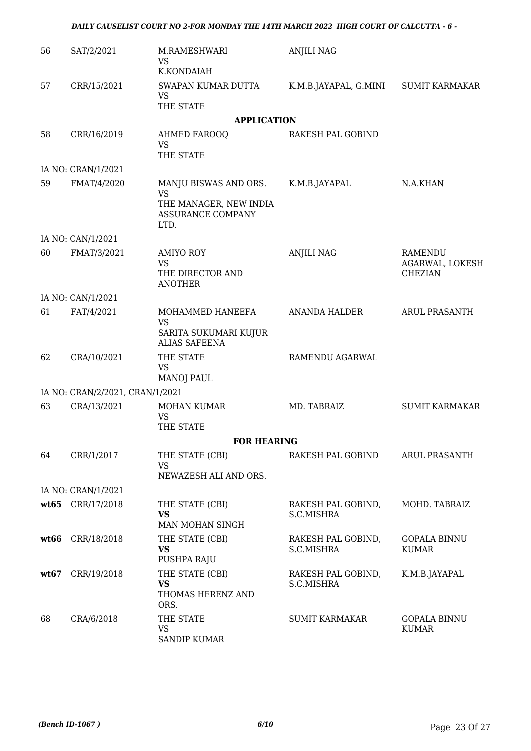| 56   | SAT/2/2021                      | M.RAMESHWARI<br><b>VS</b>                                        | <b>ANJILI NAG</b>                |                                     |
|------|---------------------------------|------------------------------------------------------------------|----------------------------------|-------------------------------------|
|      |                                 | K.KONDAIAH                                                       |                                  |                                     |
| 57   | CRR/15/2021                     | SWAPAN KUMAR DUTTA<br><b>VS</b><br>THE STATE                     | K.M.B.JAYAPAL, G.MINI            | <b>SUMIT KARMAKAR</b>               |
|      |                                 | <b>APPLICATION</b>                                               |                                  |                                     |
|      |                                 |                                                                  |                                  |                                     |
| 58   | CRR/16/2019                     | AHMED FAROOQ<br><b>VS</b><br>THE STATE                           | RAKESH PAL GOBIND                |                                     |
|      | IA NO: CRAN/1/2021              |                                                                  |                                  |                                     |
| 59   | FMAT/4/2020                     | MANJU BISWAS AND ORS.                                            | K.M.B.JAYAPAL                    | N.A.KHAN                            |
|      |                                 | <b>VS</b><br>THE MANAGER, NEW INDIA<br>ASSURANCE COMPANY<br>LTD. |                                  |                                     |
|      | IA NO: CAN/1/2021               |                                                                  |                                  |                                     |
| 60   | FMAT/3/2021                     | <b>AMIYO ROY</b><br><b>VS</b>                                    | <b>ANJILI NAG</b>                | RAMENDU                             |
|      |                                 | THE DIRECTOR AND<br><b>ANOTHER</b>                               |                                  | AGARWAL, LOKESH<br><b>CHEZIAN</b>   |
|      | IA NO: CAN/1/2021               |                                                                  |                                  |                                     |
| 61   | FAT/4/2021                      | MOHAMMED HANEEFA<br><b>VS</b>                                    | <b>ANANDA HALDER</b>             | ARUL PRASANTH                       |
|      |                                 | SARITA SUKUMARI KUJUR<br><b>ALIAS SAFEENA</b>                    |                                  |                                     |
| 62   | CRA/10/2021                     | THE STATE<br><b>VS</b>                                           | RAMENDU AGARWAL                  |                                     |
|      |                                 | <b>MANOJ PAUL</b>                                                |                                  |                                     |
|      | IA NO: CRAN/2/2021, CRAN/1/2021 |                                                                  |                                  |                                     |
| 63   | CRA/13/2021                     | MOHAN KUMAR<br><b>VS</b>                                         | MD. TABRAIZ                      | <b>SUMIT KARMAKAR</b>               |
|      |                                 | THE STATE                                                        |                                  |                                     |
|      |                                 | <b>FOR HEARING</b>                                               |                                  |                                     |
| 64   | CRR/1/2017                      | THE STATE (CBI)<br>VS<br>NEWAZESH ALI AND ORS.                   | RAKESH PAL GOBIND                | <b>ARUL PRASANTH</b>                |
|      | IA NO: CRAN/1/2021              |                                                                  |                                  |                                     |
|      | wt65 CRR/17/2018                | THE STATE (CBI)                                                  | RAKESH PAL GOBIND,               | MOHD. TABRAIZ                       |
|      |                                 | <b>VS</b><br>MAN MOHAN SINGH                                     | S.C.MISHRA                       |                                     |
| wt66 | CRR/18/2018                     | THE STATE (CBI)                                                  | RAKESH PAL GOBIND,               | <b>GOPALA BINNU</b>                 |
|      |                                 | <b>VS</b><br>PUSHPA RAJU                                         | S.C.MISHRA                       | <b>KUMAR</b>                        |
| wt67 | CRR/19/2018                     | THE STATE (CBI)<br><b>VS</b>                                     | RAKESH PAL GOBIND,<br>S.C.MISHRA | K.M.B.JAYAPAL                       |
|      |                                 | THOMAS HERENZ AND<br>ORS.                                        |                                  |                                     |
| 68   | CRA/6/2018                      | THE STATE<br><b>VS</b><br><b>SANDIP KUMAR</b>                    | <b>SUMIT KARMAKAR</b>            | <b>GOPALA BINNU</b><br><b>KUMAR</b> |

*DAILY CAUSELIST COURT NO 2-FOR MONDAY THE 14TH MARCH 2022 HIGH COURT OF CALCUTTA - 6 -*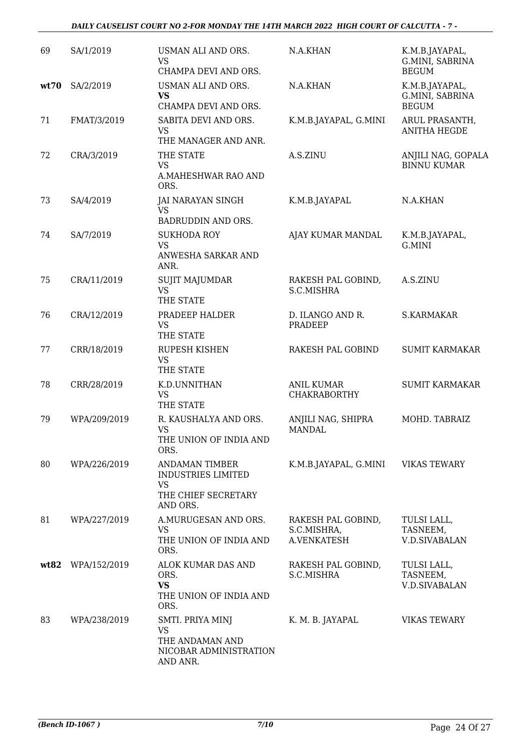| 69   | SA/1/2019    | USMAN ALI AND ORS.<br><b>VS</b><br>CHAMPA DEVI AND ORS.                                     | N.A.KHAN                                         | K.M.B.JAYAPAL,<br>G.MINI, SABRINA<br><b>BEGUM</b> |
|------|--------------|---------------------------------------------------------------------------------------------|--------------------------------------------------|---------------------------------------------------|
| wt70 | SA/2/2019    | USMAN ALI AND ORS.<br><b>VS</b><br>CHAMPA DEVI AND ORS.                                     | N.A.KHAN                                         | K.M.B.JAYAPAL,<br>G.MINI, SABRINA<br><b>BEGUM</b> |
| 71   | FMAT/3/2019  | SABITA DEVI AND ORS.<br><b>VS</b><br>THE MANAGER AND ANR.                                   | K.M.B.JAYAPAL, G.MINI                            | ARUL PRASANTH,<br><b>ANITHA HEGDE</b>             |
| 72   | CRA/3/2019   | THE STATE<br><b>VS</b><br>A.MAHESHWAR RAO AND<br>ORS.                                       | A.S.ZINU                                         | ANJILI NAG, GOPALA<br><b>BINNU KUMAR</b>          |
| 73   | SA/4/2019    | <b>JAI NARAYAN SINGH</b><br><b>VS</b><br><b>BADRUDDIN AND ORS.</b>                          | K.M.B.JAYAPAL                                    | N.A.KHAN                                          |
| 74   | SA/7/2019    | <b>SUKHODA ROY</b><br><b>VS</b><br>ANWESHA SARKAR AND<br>ANR.                               | AJAY KUMAR MANDAL                                | K.M.B.JAYAPAL,<br>G.MINI                          |
| 75   | CRA/11/2019  | <b>SUJIT MAJUMDAR</b><br><b>VS</b><br>THE STATE                                             | RAKESH PAL GOBIND,<br>S.C.MISHRA                 | A.S.ZINU                                          |
| 76   | CRA/12/2019  | PRADEEP HALDER<br><b>VS</b><br>THE STATE                                                    | D. ILANGO AND R.<br>PRADEEP                      | S.KARMAKAR                                        |
| 77   | CRR/18/2019  | <b>RUPESH KISHEN</b><br><b>VS</b><br>THE STATE                                              | RAKESH PAL GOBIND                                | <b>SUMIT KARMAKAR</b>                             |
| 78   | CRR/28/2019  | K.D.UNNITHAN<br><b>VS</b><br>THE STATE                                                      | <b>ANIL KUMAR</b><br><b>CHAKRABORTHY</b>         | <b>SUMIT KARMAKAR</b>                             |
| 79   | WPA/209/2019 | R. KAUSHALYA AND ORS.<br><b>VS</b><br>THE UNION OF INDIA AND<br>ORS.                        | ANJILI NAG, SHIPRA<br><b>MANDAL</b>              | MOHD. TABRAIZ                                     |
| 80   | WPA/226/2019 | <b>ANDAMAN TIMBER</b><br><b>INDUSTRIES LIMITED</b><br>VS<br>THE CHIEF SECRETARY<br>AND ORS. | K.M.B.JAYAPAL, G.MINI                            | <b>VIKAS TEWARY</b>                               |
| 81   | WPA/227/2019 | A.MURUGESAN AND ORS.<br><b>VS</b><br>THE UNION OF INDIA AND<br>ORS.                         | RAKESH PAL GOBIND,<br>S.C.MISHRA,<br>A.VENKATESH | TULSI LALL,<br>TASNEEM,<br><b>V.D.SIVABALAN</b>   |
| wt82 | WPA/152/2019 | ALOK KUMAR DAS AND<br>ORS.<br><b>VS</b><br>THE UNION OF INDIA AND<br>ORS.                   | RAKESH PAL GOBIND,<br>S.C.MISHRA                 | TULSI LALL,<br>TASNEEM,<br><b>V.D.SIVABALAN</b>   |
| 83   | WPA/238/2019 | SMTI. PRIYA MINJ<br><b>VS</b><br>THE ANDAMAN AND<br>NICOBAR ADMINISTRATION<br>AND ANR.      | K. M. B. JAYAPAL                                 | <b>VIKAS TEWARY</b>                               |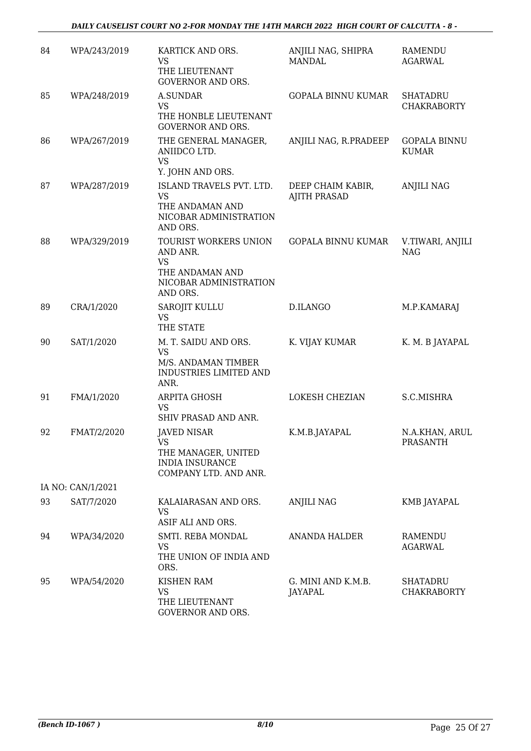#### *DAILY CAUSELIST COURT NO 2-FOR MONDAY THE 14TH MARCH 2022 HIGH COURT OF CALCUTTA - 8 -*

| 84 | WPA/243/2019      | KARTICK AND ORS.<br><b>VS</b><br>THE LIEUTENANT<br><b>GOVERNOR AND ORS.</b>                             | ANJILI NAG, SHIPRA<br><b>MANDAL</b>      | RAMENDU<br>AGARWAL                    |
|----|-------------------|---------------------------------------------------------------------------------------------------------|------------------------------------------|---------------------------------------|
| 85 | WPA/248/2019      | <b>A.SUNDAR</b><br><b>VS</b><br>THE HONBLE LIEUTENANT<br><b>GOVERNOR AND ORS.</b>                       | <b>GOPALA BINNU KUMAR</b>                | <b>SHATADRU</b><br><b>CHAKRABORTY</b> |
| 86 | WPA/267/2019      | THE GENERAL MANAGER,<br>ANIIDCO LTD.<br><b>VS</b><br>Y. JOHN AND ORS.                                   | ANJILI NAG, R.PRADEEP                    | <b>GOPALA BINNU</b><br><b>KUMAR</b>   |
| 87 | WPA/287/2019      | ISLAND TRAVELS PVT. LTD.<br><b>VS</b><br>THE ANDAMAN AND<br>NICOBAR ADMINISTRATION<br>AND ORS.          | DEEP CHAIM KABIR,<br><b>AJITH PRASAD</b> | <b>ANJILI NAG</b>                     |
| 88 | WPA/329/2019      | TOURIST WORKERS UNION<br>AND ANR.<br><b>VS</b><br>THE ANDAMAN AND<br>NICOBAR ADMINISTRATION<br>AND ORS. | <b>GOPALA BINNU KUMAR</b>                | V.TIWARI, ANJILI<br><b>NAG</b>        |
| 89 | CRA/1/2020        | SAROJIT KULLU<br><b>VS</b><br>THE STATE                                                                 | D.ILANGO                                 | M.P.KAMARAJ                           |
| 90 | SAT/1/2020        | M. T. SAIDU AND ORS.<br><b>VS</b><br>M/S. ANDAMAN TIMBER<br><b>INDUSTRIES LIMITED AND</b><br>ANR.       | K. VIJAY KUMAR                           | K. M. B JAYAPAL                       |
| 91 | FMA/1/2020        | <b>ARPITA GHOSH</b><br><b>VS</b><br>SHIV PRASAD AND ANR.                                                | LOKESH CHEZIAN                           | S.C.MISHRA                            |
| 92 | FMAT/2/2020       | <b>JAVED NISAR</b><br>VS<br>THE MANAGER, UNITED<br><b>INDIA INSURANCE</b><br>COMPANY LTD. AND ANR.      | K.M.B.JAYAPAL                            | N.A.KHAN, ARUL<br>PRASANTH            |
|    | IA NO: CAN/1/2021 |                                                                                                         |                                          |                                       |
| 93 | SAT/7/2020        | KALAIARASAN AND ORS.<br><b>VS</b><br>ASIF ALI AND ORS.                                                  | <b>ANJILI NAG</b>                        | KMB JAYAPAL                           |
| 94 | WPA/34/2020       | SMTI. REBA MONDAL<br><b>VS</b><br>THE UNION OF INDIA AND<br>ORS.                                        | ANANDA HALDER                            | RAMENDU<br><b>AGARWAL</b>             |
| 95 | WPA/54/2020       | <b>KISHEN RAM</b><br>VS<br>THE LIEUTENANT<br><b>GOVERNOR AND ORS.</b>                                   | G. MINI AND K.M.B.<br>JAYAPAL            | SHATADRU<br><b>CHAKRABORTY</b>        |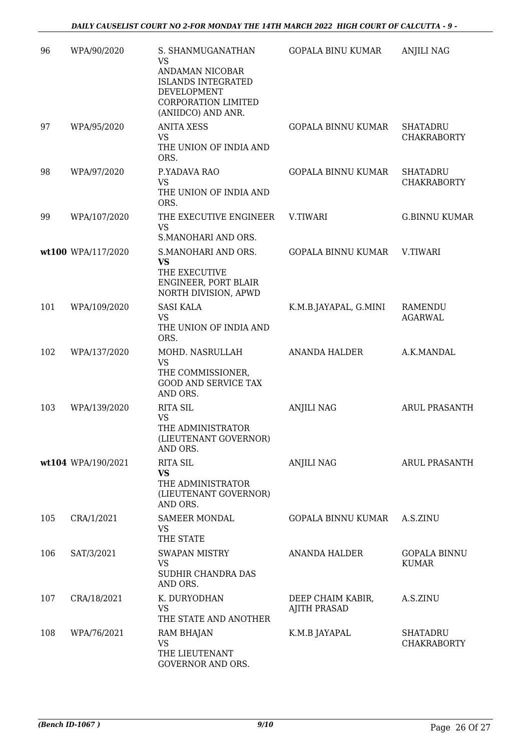| 96  | WPA/90/2020        | S. SHANMUGANATHAN<br><b>VS</b><br>ANDAMAN NICOBAR<br><b>ISLANDS INTEGRATED</b><br>DEVELOPMENT<br><b>CORPORATION LIMITED</b><br>(ANIIDCO) AND ANR. | <b>GOPALA BINU KUMAR</b>                 | <b>ANJILI NAG</b>                     |
|-----|--------------------|---------------------------------------------------------------------------------------------------------------------------------------------------|------------------------------------------|---------------------------------------|
| 97  | WPA/95/2020        | <b>ANITA XESS</b><br>VS<br>THE UNION OF INDIA AND<br>ORS.                                                                                         | <b>GOPALA BINNU KUMAR</b>                | <b>SHATADRU</b><br><b>CHAKRABORTY</b> |
| 98  | WPA/97/2020        | P.YADAVA RAO<br><b>VS</b><br>THE UNION OF INDIA AND<br>ORS.                                                                                       | <b>GOPALA BINNU KUMAR</b>                | <b>SHATADRU</b><br><b>CHAKRABORTY</b> |
| 99  | WPA/107/2020       | THE EXECUTIVE ENGINEER<br><b>VS</b><br>S.MANOHARI AND ORS.                                                                                        | V.TIWARI                                 | <b>G.BINNU KUMAR</b>                  |
|     | wt100 WPA/117/2020 | S.MANOHARI AND ORS.<br><b>VS</b><br>THE EXECUTIVE<br>ENGINEER, PORT BLAIR<br>NORTH DIVISION, APWD                                                 | <b>GOPALA BINNU KUMAR</b>                | V.TIWARI                              |
| 101 | WPA/109/2020       | <b>SASI KALA</b><br>VS<br>THE UNION OF INDIA AND<br>ORS.                                                                                          | K.M.B.JAYAPAL, G.MINI                    | <b>RAMENDU</b><br><b>AGARWAL</b>      |
| 102 | WPA/137/2020       | MOHD. NASRULLAH<br>VS<br>THE COMMISSIONER,<br><b>GOOD AND SERVICE TAX</b><br>AND ORS.                                                             | <b>ANANDA HALDER</b>                     | A.K.MANDAL                            |
| 103 | WPA/139/2020       | <b>RITA SIL</b><br><b>VS</b><br>THE ADMINISTRATOR<br>(LIEUTENANT GOVERNOR)<br>AND ORS.                                                            | <b>ANJILI NAG</b>                        | <b>ARUL PRASANTH</b>                  |
|     | wt104 WPA/190/2021 | <b>RITA SIL</b><br><b>VS</b><br>THE ADMINISTRATOR<br>(LIEUTENANT GOVERNOR)<br>AND ORS.                                                            | <b>ANJILI NAG</b>                        | <b>ARUL PRASANTH</b>                  |
| 105 | CRA/1/2021         | <b>SAMEER MONDAL</b><br>VS<br>THE STATE                                                                                                           | GOPALA BINNU KUMAR                       | A.S.ZINU                              |
| 106 | SAT/3/2021         | <b>SWAPAN MISTRY</b><br>VS<br>SUDHIR CHANDRA DAS<br>AND ORS.                                                                                      | ANANDA HALDER                            | <b>GOPALA BINNU</b><br><b>KUMAR</b>   |
| 107 | CRA/18/2021        | K. DURYODHAN<br>VS.<br>THE STATE AND ANOTHER                                                                                                      | DEEP CHAIM KABIR,<br><b>AJITH PRASAD</b> | A.S.ZINU                              |
| 108 | WPA/76/2021        | RAM BHAJAN<br><b>VS</b><br>THE LIEUTENANT<br><b>GOVERNOR AND ORS.</b>                                                                             | K.M.B JAYAPAL                            | <b>SHATADRU</b><br><b>CHAKRABORTY</b> |